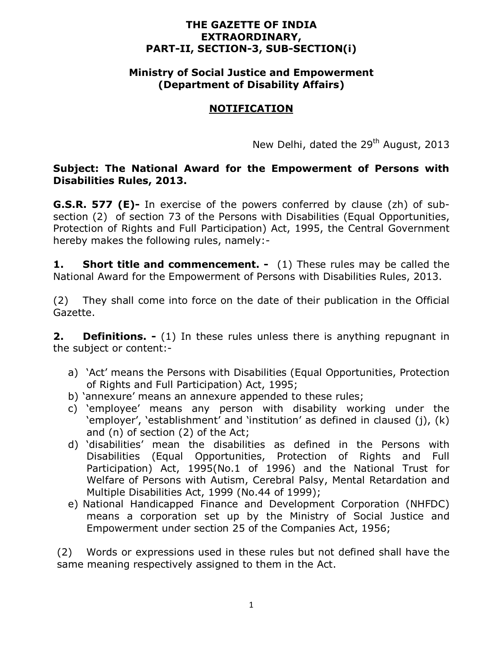#### **THE GAZETTE OF INDIA EXTRAORDINARY, PART-II, SECTION-3, SUB-SECTION(i)**

#### **Ministry of Social Justice and Empowerment (Department of Disability Affairs)**

### **NOTIFICATION**

New Delhi, dated the  $29<sup>th</sup>$  August, 2013

#### **Subject: The National Award for the Empowerment of Persons with Disabilities Rules, 2013.**

**G.S.R. 577 (E)-** In exercise of the powers conferred by clause (zh) of subsection (2) of section 73 of the Persons with Disabilities (Equal Opportunities, Protection of Rights and Full Participation) Act, 1995, the Central Government hereby makes the following rules, namely:-

**1. Short title and commencement.** - (1) These rules may be called the National Award for the Empowerment of Persons with Disabilities Rules, 2013.

(2) They shall come into force on the date of their publication in the Official Gazette.

**2. Definitions. -** (1) In these rules unless there is anything repugnant in the subject or content:-

- a) 'Act' means the Persons with Disabilities (Equal Opportunities, Protection of Rights and Full Participation) Act, 1995;
- b) 'annexure' means an annexure appended to these rules;
- c) 'employee' means any person with disability working under the 'employer', 'establishment' and 'institution' as defined in claused (j), (k) and (n) of section (2) of the Act;
- d) 'disabilities' mean the disabilities as defined in the Persons with Disabilities (Equal Opportunities, Protection of Rights and Full Participation) Act, 1995(No.1 of 1996) and the National Trust for Welfare of Persons with Autism, Cerebral Palsy, Mental Retardation and Multiple Disabilities Act, 1999 (No.44 of 1999);
- e) National Handicapped Finance and Development Corporation (NHFDC) means a corporation set up by the Ministry of Social Justice and Empowerment under section 25 of the Companies Act, 1956;

(2) Words or expressions used in these rules but not defined shall have the same meaning respectively assigned to them in the Act.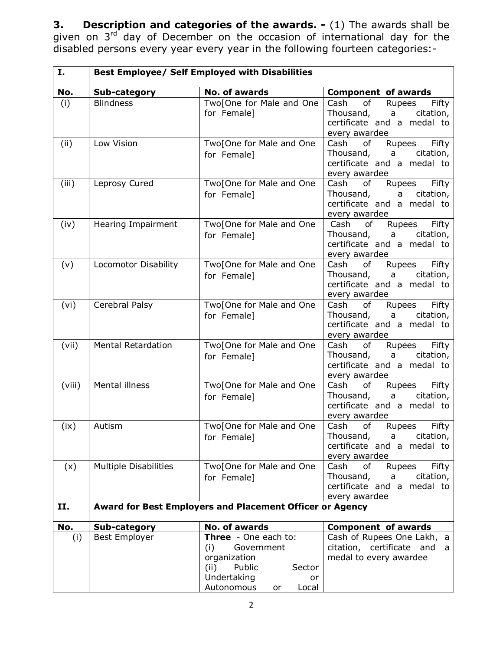**3.** Description and categories of the awards. - (1) The awards shall be given on 3<sup>rd</sup> day of December on the occasion of international day for the disabled persons every year every year in the following fourteen categories:-

| I.     | <b>Best Employee/ Self Employed with Disabilities</b> |                                                                                                                                                |                                                                                                                    |  |
|--------|-------------------------------------------------------|------------------------------------------------------------------------------------------------------------------------------------------------|--------------------------------------------------------------------------------------------------------------------|--|
| No.    | Sub-category                                          | No. of awards                                                                                                                                  | <b>Component of awards</b>                                                                                         |  |
| (i)    | <b>Blindness</b>                                      | Two[One for Male and One<br>for Female]                                                                                                        | of<br>Rupees Fifty<br>Cash<br>Thousand, a<br>citation,<br>certificate and a medal to<br>every awardee              |  |
| (ii)   | Low Vision                                            | Two[One for Male and One<br>for Female]                                                                                                        | Rupees Fifty<br>of<br>Cash<br>Thousand, a citation,<br>certificate and a medal to<br>every awardee                 |  |
| (iii)  | Leprosy Cured                                         | Two[One for Male and One<br>for Female]                                                                                                        | Cash of Rupees Fifty<br>Thousand, a citation,<br>certificate and a medal to<br>every awardee                       |  |
| (iv)   | Hearing Impairment                                    | Two[One for Male and One<br>for Female]                                                                                                        | Cash<br>Rupees Fifty<br>of<br>Thousand, a citation,<br>certificate and a medal to<br>every awardee                 |  |
| (v)    | Locomotor Disability                                  | Two <sup>[One for Male and One</sup><br>for Female]                                                                                            | Rupees Fifty<br>of<br>Cash<br>citation,<br>Thousand, a<br>certificate and a medal to<br>every awardee              |  |
| (vi)   | Cerebral Palsy                                        | Two[One for Male and One<br>for Female]                                                                                                        | of<br>Rupees Fifty<br>Cash<br>Thousand, a<br>citation,<br>certificate and a medal to<br>every awardee              |  |
| (vii)  | <b>Mental Retardation</b>                             | Two[One for Male and One<br>for Female]                                                                                                        | Rupees Fifty<br>Cash<br>of<br>Thousand, a<br>citation,<br>certificate and a medal to<br>every awardee              |  |
| (viii) | <b>Mental illness</b>                                 | Two <sup>[One for Male and One</sup><br>for Female]                                                                                            | Rupees Fifty<br>Cash<br>of<br>Thousand, a<br>citation,<br>certificate and a medal to<br>every awardee              |  |
| (ix)   | Autism                                                | Two <sub>[One for Male and One</sub><br>for Female]                                                                                            | of Rupees Fifty<br>Cash<br>Thousand,<br>a citation,<br>certificate and a medal to<br>every awardee                 |  |
| (x)    | <b>Multiple Disabilities</b>                          | Two <sub>[One for Male and One</sub><br>for Female]                                                                                            | Cash<br><b>Rupees</b><br>Fifty<br>of<br>Thousand,<br>citation,<br>a<br>certificate and a medal to<br>every awardee |  |
| П.     |                                                       | Award for Best Employers and Placement Officer or Agency                                                                                       |                                                                                                                    |  |
| No.    | Sub-category                                          | No. of awards                                                                                                                                  | <b>Component of awards</b>                                                                                         |  |
| (i)    | Best Employer                                         | <b>Three</b> - One each to:<br>(i)<br>Government<br>organization<br>(ii)<br>Public<br>Sector<br>Undertaking<br>or<br>Autonomous<br>Local<br>or | Cash of Rupees One Lakh, a<br>citation, certificate and a<br>medal to every awardee                                |  |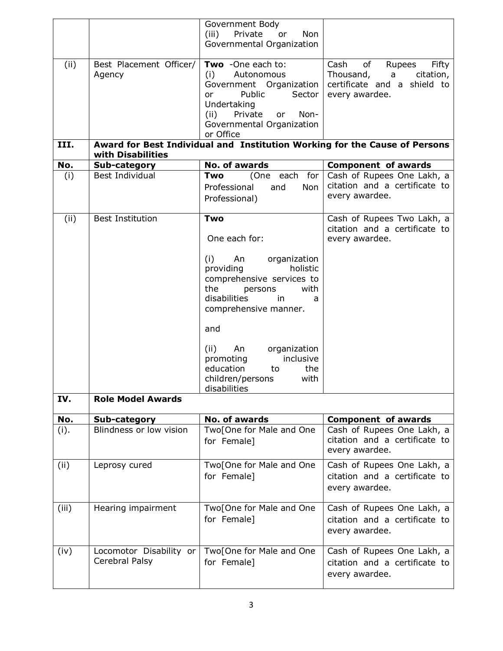|       |                                           | Government Body<br>Private<br>(iii)<br>or<br>Non<br>Governmental Organization                                                                                                                |                                                                                                         |
|-------|-------------------------------------------|----------------------------------------------------------------------------------------------------------------------------------------------------------------------------------------------|---------------------------------------------------------------------------------------------------------|
| (ii)  | Best Placement Officer/<br>Agency         | Two -One each to:<br>Autonomous<br>(i)<br>Government Organization<br>Public<br>Sector<br>or<br>Undertaking<br>Private<br>(ii)<br>Non-<br><b>or</b><br>Governmental Organization<br>or Office | Cash of<br>Rupees<br>Fifty<br>Thousand, a<br>citation,<br>certificate and a shield to<br>every awardee. |
| III.  | with Disabilities                         |                                                                                                                                                                                              | Award for Best Individual and Institution Working for the Cause of Persons                              |
| No.   | Sub-category                              | No. of awards                                                                                                                                                                                | <b>Component of awards</b>                                                                              |
| (i)   | Best Individual                           | (One each for<br>Two<br>Professional<br>Non<br>and<br>Professional)                                                                                                                          | Cash of Rupees One Lakh, a<br>citation and a certificate to<br>every awardee.                           |
| (ii)  | <b>Best Institution</b>                   | Two<br>One each for:                                                                                                                                                                         | Cash of Rupees Two Lakh, a<br>citation and a certificate to<br>every awardee.                           |
|       |                                           | (i)<br>organization<br>An<br>providing<br>holistic<br>comprehensive services to<br>the<br>with<br>persons<br>disabilities<br>in<br>a<br>comprehensive manner.                                |                                                                                                         |
|       |                                           | and<br>An<br>organization<br>(ii)<br>inclusive<br>promoting<br>education<br>the<br>to<br>children/persons<br>with<br>disabilities                                                            |                                                                                                         |
| IV.   | <b>Role Model Awards</b>                  |                                                                                                                                                                                              |                                                                                                         |
| No.   | Sub-category                              | No. of awards                                                                                                                                                                                | <b>Component of awards</b>                                                                              |
| (i).  | Blindness or low vision                   | Two <sup>[One for Male and One</sup><br>for Female]                                                                                                                                          | Cash of Rupees One Lakh, a<br>citation and a certificate to<br>every awardee.                           |
| (ii)  | Leprosy cured                             | Two[One for Male and One<br>for Female]                                                                                                                                                      | Cash of Rupees One Lakh, a<br>citation and a certificate to<br>every awardee.                           |
| (iii) | Hearing impairment                        | Two <sub>[One for Male and One</sub><br>for Female]                                                                                                                                          | Cash of Rupees One Lakh, a<br>citation and a certificate to<br>every awardee.                           |
| (iv)  | Locomotor Disability or<br>Cerebral Palsy | Two[One for Male and One<br>for Female]                                                                                                                                                      | Cash of Rupees One Lakh, a<br>citation and a certificate to<br>every awardee.                           |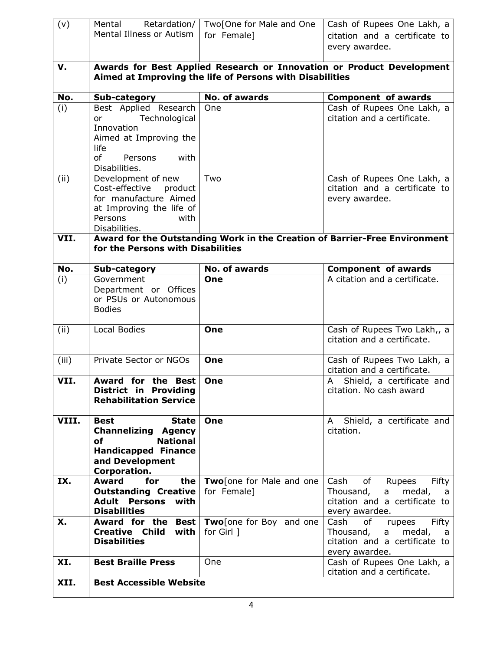| (v)   | Mental<br>Retardation/                                      | Two[One for Male and One        | Cash of Rupees One Lakh, a                                                 |  |
|-------|-------------------------------------------------------------|---------------------------------|----------------------------------------------------------------------------|--|
|       | Mental Illness or Autism                                    | for Female]                     | citation and a certificate to                                              |  |
|       |                                                             |                                 | every awardee.                                                             |  |
|       |                                                             |                                 |                                                                            |  |
| V.    |                                                             |                                 | Awards for Best Applied Research or Innovation or Product Development      |  |
|       | Aimed at Improving the life of Persons with Disabilities    |                                 |                                                                            |  |
| No.   | Sub-category                                                | <b>No. of awards</b>            | <b>Component of awards</b>                                                 |  |
| (i)   | Best Applied Research                                       | One                             | Cash of Rupees One Lakh, a                                                 |  |
|       | Technological<br><b>or</b>                                  |                                 | citation and a certificate.                                                |  |
|       | Innovation                                                  |                                 |                                                                            |  |
|       | Aimed at Improving the<br>life                              |                                 |                                                                            |  |
|       | Persons<br>of<br>with                                       |                                 |                                                                            |  |
|       | Disabilities.                                               |                                 |                                                                            |  |
| (ii)  | Development of new                                          | Two                             | Cash of Rupees One Lakh, a                                                 |  |
|       | Cost-effective<br>product                                   |                                 | citation and a certificate to                                              |  |
|       | for manufacture Aimed                                       |                                 | every awardee.                                                             |  |
|       | at Improving the life of<br>Persons<br>with                 |                                 |                                                                            |  |
|       | Disabilities.                                               |                                 |                                                                            |  |
| VII.  |                                                             |                                 | Award for the Outstanding Work in the Creation of Barrier-Free Environment |  |
|       | for the Persons with Disabilities                           |                                 |                                                                            |  |
| No.   | Sub-category                                                | <b>No. of awards</b>            | <b>Component of awards</b>                                                 |  |
| (i)   | Government                                                  | One                             | A citation and a certificate.                                              |  |
|       | Department or Offices                                       |                                 |                                                                            |  |
|       | or PSUs or Autonomous                                       |                                 |                                                                            |  |
|       | <b>Bodies</b>                                               |                                 |                                                                            |  |
| (ii)  | Local Bodies                                                | One                             | Cash of Rupees Two Lakh,, a                                                |  |
|       |                                                             |                                 | citation and a certificate.                                                |  |
|       |                                                             |                                 |                                                                            |  |
| (iii) | Private Sector or NGOs                                      | One                             | Cash of Rupees Two Lakh, a                                                 |  |
| VII.  | Award for the Best                                          | One                             | citation and a certificate.<br>Shield, a certificate and<br>A              |  |
|       | <b>District in Providing</b>                                |                                 | citation. No cash award                                                    |  |
|       | <b>Rehabilitation Service</b>                               |                                 |                                                                            |  |
|       |                                                             |                                 |                                                                            |  |
| VIII. | <b>Best</b><br><b>State</b>                                 | One                             | Shield, a certificate and<br>A                                             |  |
|       | <b>Channelizing Agency</b><br>of<br><b>National</b>         |                                 | citation.                                                                  |  |
|       | <b>Handicapped Finance</b>                                  |                                 |                                                                            |  |
|       | and Development                                             |                                 |                                                                            |  |
|       | Corporation.                                                |                                 |                                                                            |  |
| IX.   | Award<br>the<br>for                                         | Two[one for Male and one        | Cash<br>Fifty<br>of<br>Rupees                                              |  |
|       | <b>Outstanding Creative</b><br><b>Adult Persons</b><br>with | for Female]                     | Thousand,<br>medal,<br>a<br>a<br>citation and a certificate to             |  |
|       | <b>Disabilities</b>                                         |                                 | every awardee.                                                             |  |
| X.    | Award for the Best                                          | <b>Two</b> [one for Boy and one | of<br>Fifty<br>Cash<br>rupees                                              |  |
|       | <b>Creative Child</b><br>with                               | for Girl 1                      | medal,<br>Thousand,<br>a<br>a                                              |  |
|       | <b>Disabilities</b>                                         |                                 | citation and a certificate to                                              |  |
|       |                                                             |                                 | every awardee.                                                             |  |
| XI.   | <b>Best Braille Press</b>                                   | One                             | Cash of Rupees One Lakh, a<br>citation and a certificate.                  |  |
| XII.  | <b>Best Accessible Website</b>                              |                                 |                                                                            |  |
|       |                                                             |                                 |                                                                            |  |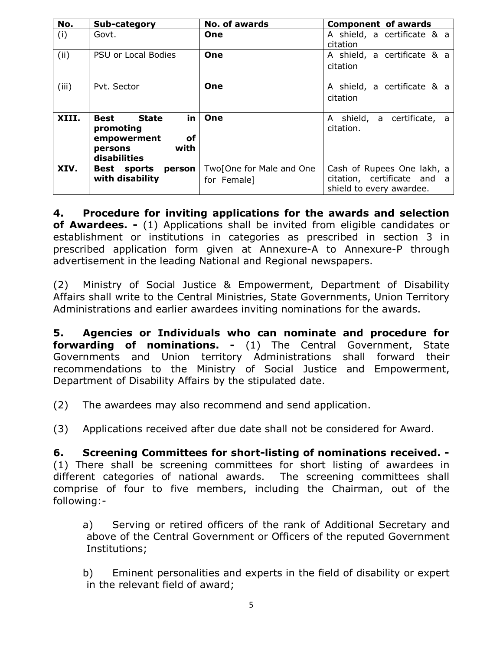| No.   | Sub-category                                                                                             | <b>No. of awards</b>                    | <b>Component of awards</b>                                                            |
|-------|----------------------------------------------------------------------------------------------------------|-----------------------------------------|---------------------------------------------------------------------------------------|
| (i)   | Govt.                                                                                                    | One                                     | A shield, a certificate & a<br>citation                                               |
| (ii)  | PSU or Local Bodies                                                                                      | One                                     | A shield, a certificate & a<br>citation                                               |
| (iii) | Pvt. Sector                                                                                              | One                                     | A shield, a certificate & a<br>citation                                               |
| XIII. | in l<br><b>Best</b><br><b>State</b><br>promoting<br>of<br>empowerment<br>with<br>persons<br>disabilities | One                                     | A shield, a certificate, a<br>citation.                                               |
| XIV.  | Best sports<br>person<br>with disability                                                                 | Two[One for Male and One<br>for Female] | Cash of Rupees One lakh, a<br>citation, certificate and a<br>shield to every awardee. |

**4. Procedure for inviting applications for the awards and selection of Awardees. -** (1) Applications shall be invited from eligible candidates or establishment or institutions in categories as prescribed in section 3 in prescribed application form given at Annexure-A to Annexure-P through advertisement in the leading National and Regional newspapers.

(2) Ministry of Social Justice & Empowerment, Department of Disability Affairs shall write to the Central Ministries, State Governments, Union Territory Administrations and earlier awardees inviting nominations for the awards.

**5. Agencies or Individuals who can nominate and procedure for forwarding of nominations. -** (1) The Central Government, State Governments and Union territory Administrations shall forward their recommendations to the Ministry of Social Justice and Empowerment, Department of Disability Affairs by the stipulated date.

(2) The awardees may also recommend and send application.

(3) Applications received after due date shall not be considered for Award.

**6. Screening Committees for short-listing of nominations received. -**  (1) There shall be screening committees for short listing of awardees in different categories of national awards. The screening committees shall comprise of four to five members, including the Chairman, out of the following:-

a) Serving or retired officers of the rank of Additional Secretary and above of the Central Government or Officers of the reputed Government Institutions;

b) Eminent personalities and experts in the field of disability or expert in the relevant field of award;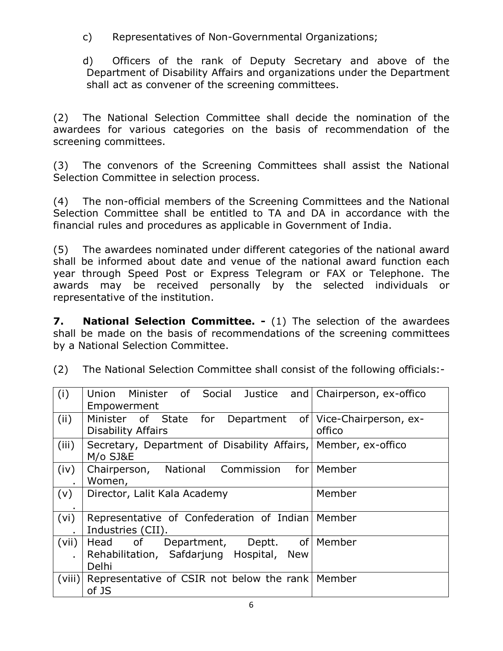c) Representatives of Non-Governmental Organizations;

d) Officers of the rank of Deputy Secretary and above of the Department of Disability Affairs and organizations under the Department shall act as convener of the screening committees.

(2) The National Selection Committee shall decide the nomination of the awardees for various categories on the basis of recommendation of the screening committees.

(3) The convenors of the Screening Committees shall assist the National Selection Committee in selection process.

(4) The non-official members of the Screening Committees and the National Selection Committee shall be entitled to TA and DA in accordance with the financial rules and procedures as applicable in Government of India.

(5) The awardees nominated under different categories of the national award shall be informed about date and venue of the national award function each year through Speed Post or Express Telegram or FAX or Telephone. The awards may be received personally by the selected individuals or representative of the institution.

**7.** National Selection Committee. - (1) The selection of the awardees shall be made on the basis of recommendations of the screening committees by a National Selection Committee.

| (2) |  | The National Selection Committee shall consist of the following officials:- |  |  |  |
|-----|--|-----------------------------------------------------------------------------|--|--|--|
|-----|--|-----------------------------------------------------------------------------|--|--|--|

| (i)    | Union Minister of Social Justice and Chairperson, ex-offico<br>Empowerment                |                                      |
|--------|-------------------------------------------------------------------------------------------|--------------------------------------|
| (ii)   | Minister of State for Department<br><b>Disability Affairs</b>                             | of   Vice-Chairperson, ex-<br>offico |
| (iii)  | Secretary, Department of Disability Affairs, Member, ex-offico<br>M/o SJ&E                |                                      |
| (iv)   | Chairperson, National Commission for Member<br>Women,                                     |                                      |
| (v)    | Director, Lalit Kala Academy                                                              | Member                               |
| (vi)   | Representative of Confederation of Indian Member<br>Industries (CII).                     |                                      |
| (vii)  | Head of<br>Department, Deptt.<br>Rehabilitation, Safdarjung Hospital, New<br><b>Delhi</b> | of Member                            |
| (viii) | Representative of CSIR not below the rank   Member<br>of JS                               |                                      |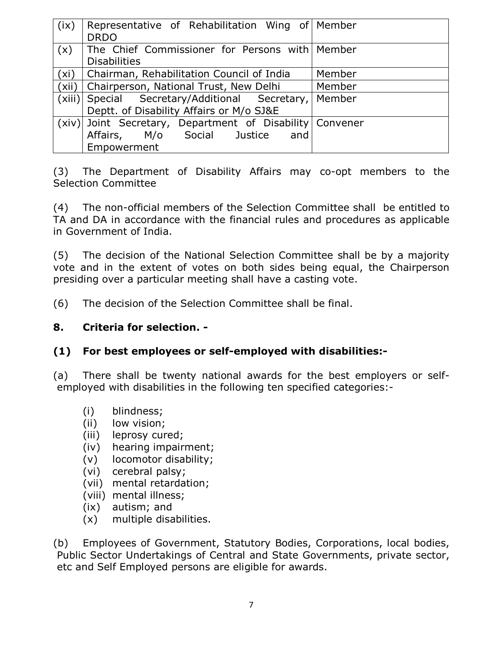| (ix)  | Representative of Rehabilitation Wing of Member          |        |
|-------|----------------------------------------------------------|--------|
|       | <b>DRDO</b>                                              |        |
| (x)   | The Chief Commissioner for Persons with   Member         |        |
|       | <b>Disabilities</b>                                      |        |
| (xi)  | Chairman, Rehabilitation Council of India                | Member |
| (xii) | Chairperson, National Trust, New Delhi                   | Member |
|       | (xiii) Special Secretary/Additional Secretary,           | Member |
|       | Deptt. of Disability Affairs or M/o SJ&E                 |        |
|       | (xiv) Joint Secretary, Department of Disability Convener |        |
|       | Affairs, M/o Social Justice<br>and                       |        |
|       | Empowerment                                              |        |

(3) The Department of Disability Affairs may co-opt members to the Selection Committee

(4) The non-official members of the Selection Committee shall be entitled to TA and DA in accordance with the financial rules and procedures as applicable in Government of India.

(5) The decision of the National Selection Committee shall be by a majority vote and in the extent of votes on both sides being equal, the Chairperson presiding over a particular meeting shall have a casting vote.

(6) The decision of the Selection Committee shall be final.

## **8. Criteria for selection. -**

#### **(1) For best employees or self-employed with disabilities:-**

(a) There shall be twenty national awards for the best employers or selfemployed with disabilities in the following ten specified categories:-

- (i) blindness;
- (ii) low vision;
- (iii) leprosy cured;
- (iv) hearing impairment;
- (v) locomotor disability;
- (vi) cerebral palsy;
- (vii) mental retardation;
- (viii) mental illness;
- (ix) autism; and
- (x) multiple disabilities.

(b) Employees of Government, Statutory Bodies, Corporations, local bodies, Public Sector Undertakings of Central and State Governments, private sector, etc and Self Employed persons are eligible for awards.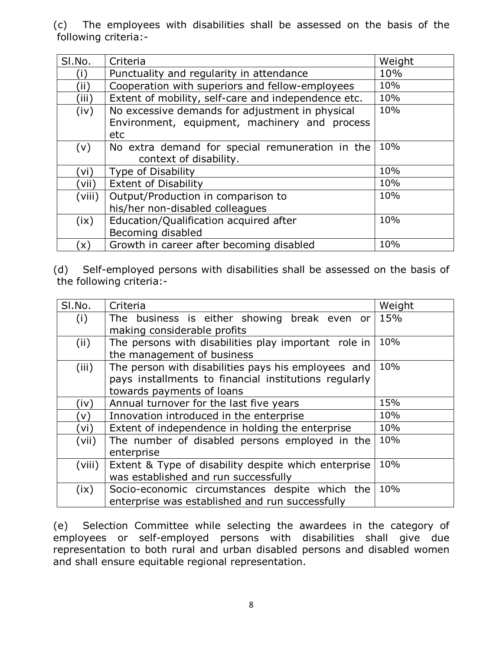(c) The employees with disabilities shall be assessed on the basis of the following criteria:-

| SI.No.         | Criteria                                            | Weight |
|----------------|-----------------------------------------------------|--------|
| (i)            | Punctuality and regularity in attendance            | 10%    |
| (ii)           | Cooperation with superiors and fellow-employees     | 10%    |
| (iii)          | Extent of mobility, self-care and independence etc. | 10%    |
| (iv)           | No excessive demands for adjustment in physical     | 10%    |
|                | Environment, equipment, machinery and process       |        |
|                | etc                                                 |        |
| (v)            | No extra demand for special remuneration in the     | 10%    |
|                | context of disability.                              |        |
| (vi)           | Type of Disability                                  | 10%    |
| (vii)          | <b>Extent of Disability</b>                         | 10%    |
| (viii)         | Output/Production in comparison to                  | 10%    |
|                | his/her non-disabled colleagues                     |        |
| (ix)           | Education/Qualification acquired after              | 10%    |
|                | Becoming disabled                                   |        |
| $\mathsf{(x)}$ | Growth in career after becoming disabled            | 10%    |

(d) Self-employed persons with disabilities shall be assessed on the basis of the following criteria:-

| SI.No. | Criteria                                              | Weight |
|--------|-------------------------------------------------------|--------|
| (i)    | The business is either showing break even or $15\%$   |        |
|        | making considerable profits                           |        |
| (ii)   | The persons with disabilities play important role in  | 10%    |
|        | the management of business                            |        |
| (iii)  | The person with disabilities pays his employees and   | 10%    |
|        | pays installments to financial institutions regularly |        |
|        | towards payments of loans                             |        |
| (iv)   | Annual turnover for the last five years               | 15%    |
| (v)    | Innovation introduced in the enterprise               | 10%    |
| (vi)   | Extent of independence in holding the enterprise      | 10%    |
| (vii)  | The number of disabled persons employed in the        | 10%    |
|        | enterprise                                            |        |
| (viii) | Extent & Type of disability despite which enterprise  | 10%    |
|        | was established and run successfully                  |        |
| (ix)   | Socio-economic circumstances despite which the        | 10%    |
|        | enterprise was established and run successfully       |        |

(e) Selection Committee while selecting the awardees in the category of employees or self-employed persons with disabilities shall give due representation to both rural and urban disabled persons and disabled women and shall ensure equitable regional representation.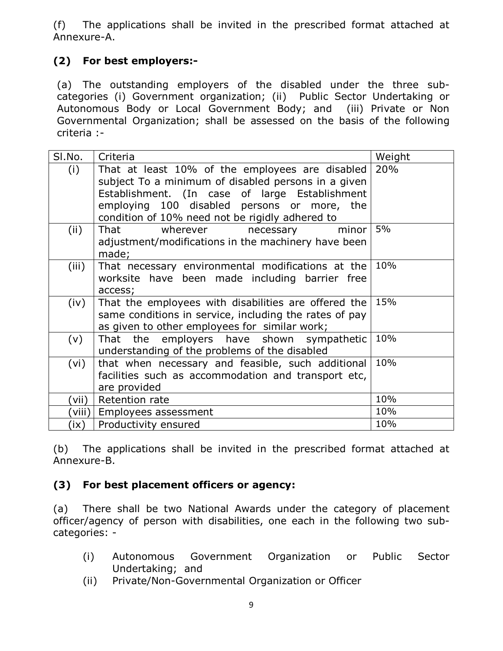(f) The applications shall be invited in the prescribed format attached at Annexure-A.

# **(2) For best employers:-**

(a) The outstanding employers of the disabled under the three subcategories (i) Government organization; (ii) Public Sector Undertaking or Autonomous Body or Local Government Body; and (iii) Private or Non Governmental Organization; shall be assessed on the basis of the following criteria :-

| SI.No. | Criteria                                                                                                                                                                                                                                                   | Weight |
|--------|------------------------------------------------------------------------------------------------------------------------------------------------------------------------------------------------------------------------------------------------------------|--------|
| (i)    | That at least 10% of the employees are disabled<br>subject To a minimum of disabled persons in a given<br>Establishment. (In case of large Establishment<br>employing 100 disabled persons or more, the<br>condition of 10% need not be rigidly adhered to | 20%    |
| (ii)   | That wherever<br>minor<br>necessary<br>adjustment/modifications in the machinery have been<br>made;                                                                                                                                                        | 5%     |
| (iii)  | That necessary environmental modifications at the<br>worksite have been made including barrier free<br>access;                                                                                                                                             | 10%    |
| (iv)   | That the employees with disabilities are offered the<br>same conditions in service, including the rates of pay<br>as given to other employees for similar work;                                                                                            | 15%    |
| (v)    | That the employers have shown sympathetic<br>understanding of the problems of the disabled                                                                                                                                                                 | 10%    |
| (vi)   | that when necessary and feasible, such additional<br>facilities such as accommodation and transport etc,<br>are provided                                                                                                                                   | 10%    |
| (vii)  | Retention rate                                                                                                                                                                                                                                             | 10%    |
| (viii) | Employees assessment                                                                                                                                                                                                                                       | 10%    |
| (ix)   | Productivity ensured                                                                                                                                                                                                                                       | 10%    |

(b) The applications shall be invited in the prescribed format attached at Annexure-B.

## **(3) For best placement officers or agency:**

(a) There shall be two National Awards under the category of placement officer/agency of person with disabilities, one each in the following two subcategories: -

- (i) Autonomous Government Organization or Public Sector Undertaking; and
- (ii) Private/Non-Governmental Organization or Officer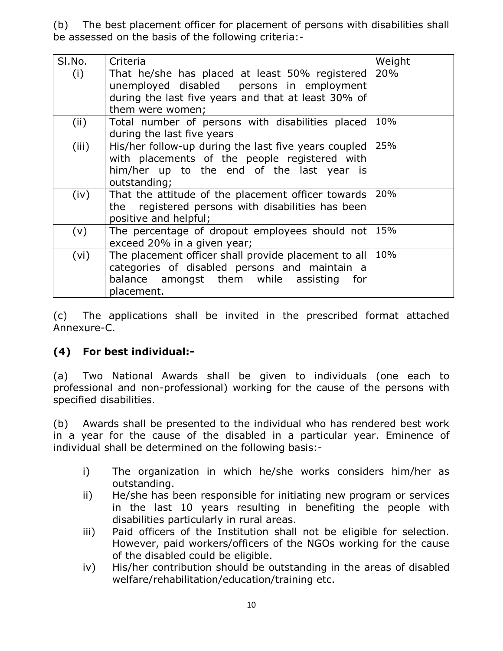(b) The best placement officer for placement of persons with disabilities shall be assessed on the basis of the following criteria:-

| SI.No. | Criteria                                                                                                                                                               | Weight |
|--------|------------------------------------------------------------------------------------------------------------------------------------------------------------------------|--------|
| (i)    | That he/she has placed at least 50% registered<br>unemployed disabled persons in employment<br>during the last five years and that at least 30% of<br>them were women; | 20%    |
| (ii)   | Total number of persons with disabilities placed<br>during the last five years                                                                                         | 10%    |
| (iii)  | His/her follow-up during the last five years coupled<br>with placements of the people registered with<br>him/her up to the end of the last year is<br>outstanding;     | 25%    |
| (iv)   | That the attitude of the placement officer towards<br>the registered persons with disabilities has been<br>positive and helpful;                                       | 20%    |
| (v)    | The percentage of dropout employees should not<br>exceed 20% in a given year;                                                                                          | 15%    |
| (vi)   | The placement officer shall provide placement to all<br>categories of disabled persons and maintain a<br>balance amongst them while assisting for<br>placement.        | 10%    |

(c) The applications shall be invited in the prescribed format attached Annexure-C.

# **(4) For best individual:-**

(a) Two National Awards shall be given to individuals (one each to professional and non-professional) working for the cause of the persons with specified disabilities.

(b) Awards shall be presented to the individual who has rendered best work in a year for the cause of the disabled in a particular year. Eminence of individual shall be determined on the following basis:-

- i) The organization in which he/she works considers him/her as outstanding.
- ii) He/she has been responsible for initiating new program or services in the last 10 years resulting in benefiting the people with disabilities particularly in rural areas.
- iii) Paid officers of the Institution shall not be eligible for selection. However, paid workers/officers of the NGOs working for the cause of the disabled could be eligible.
- iv) His/her contribution should be outstanding in the areas of disabled welfare/rehabilitation/education/training etc.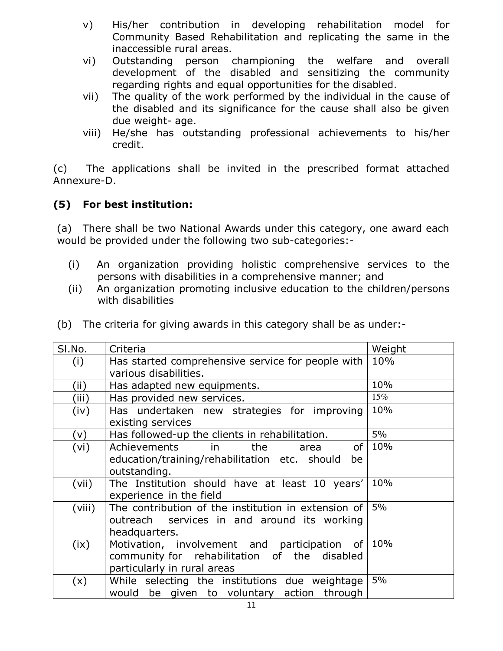- v) His/her contribution in developing rehabilitation model for Community Based Rehabilitation and replicating the same in the inaccessible rural areas.
- vi) Outstanding person championing the welfare and overall development of the disabled and sensitizing the community regarding rights and equal opportunities for the disabled.
- vii) The quality of the work performed by the individual in the cause of the disabled and its significance for the cause shall also be given due weight- age.
- viii) He/she has outstanding professional achievements to his/her credit.

(c) The applications shall be invited in the prescribed format attached Annexure-D.

# **(5) For best institution:**

(a) There shall be two National Awards under this category, one award each would be provided under the following two sub-categories:-

- (i) An organization providing holistic comprehensive services to the persons with disabilities in a comprehensive manner; and
- (ii) An organization promoting inclusive education to the children/persons with disabilities
- (b) The criteria for giving awards in this category shall be as under:-

| SI.No. | Criteria                                            | Weight |
|--------|-----------------------------------------------------|--------|
| (i)    | Has started comprehensive service for people with   | 10%    |
|        | various disabilities.                               |        |
| (ii)   | Has adapted new equipments.                         | 10%    |
| (iii)  | Has provided new services.                          | 15%    |
| (iv)   | Has undertaken new strategies for improving         | 10%    |
|        | existing services                                   |        |
| (v)    | Has followed-up the clients in rehabilitation.      | 5%     |
| (vi)   | the<br>Achievements<br>in<br>0f<br>area             | 10%    |
|        | education/training/rehabilitation etc. should<br>be |        |
|        | outstanding.                                        |        |
| (vii)  | The Institution should have at least 10 years'      | 10%    |
|        | experience in the field                             |        |
| (viii) | The contribution of the institution in extension of | 5%     |
|        | outreach services in and around its working         |        |
|        | headquarters.                                       |        |
| (ix)   | Motivation, involvement and participation of        | 10%    |
|        | community for rehabilitation of the disabled        |        |
|        | particularly in rural areas                         |        |
| (x)    | While selecting the institutions due weightage      | 5%     |
|        | would be given to voluntary action through          |        |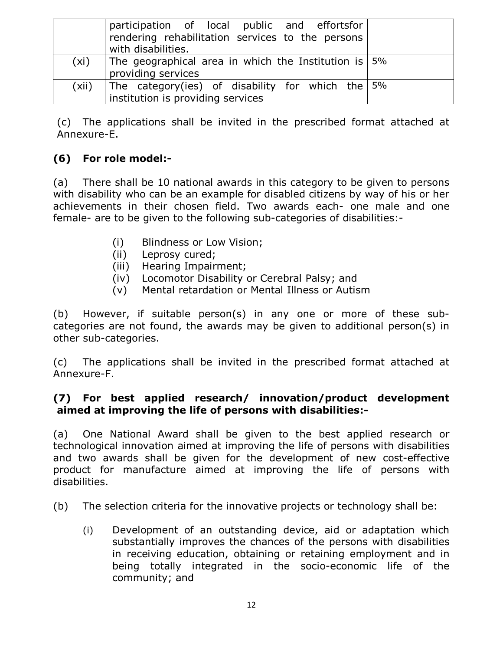|       | participation of local public and effortsfor<br>rendering rehabilitation services to the persons<br>with disabilities. |  |
|-------|------------------------------------------------------------------------------------------------------------------------|--|
| (xi)  | The geographical area in which the Institution is $5\%$<br>providing services                                          |  |
| (xii) | The category(ies) of disability for which the $5\%$                                                                    |  |
|       | institution is providing services                                                                                      |  |

(c) The applications shall be invited in the prescribed format attached at Annexure-E.

# **(6) For role model:-**

(a) There shall be 10 national awards in this category to be given to persons with disability who can be an example for disabled citizens by way of his or her achievements in their chosen field. Two awards each- one male and one female- are to be given to the following sub-categories of disabilities:-

- (i) Blindness or Low Vision;
- (ii) Leprosy cured;
- (iii) Hearing Impairment;
- (iv) Locomotor Disability or Cerebral Palsy; and
- (v) Mental retardation or Mental Illness or Autism

(b) However, if suitable person(s) in any one or more of these subcategories are not found, the awards may be given to additional person(s) in other sub-categories.

(c) The applications shall be invited in the prescribed format attached at Annexure-F.

### **(7) For best applied research/ innovation/product development aimed at improving the life of persons with disabilities:-**

(a) One National Award shall be given to the best applied research or technological innovation aimed at improving the life of persons with disabilities and two awards shall be given for the development of new cost-effective product for manufacture aimed at improving the life of persons with disabilities.

(b) The selection criteria for the innovative projects or technology shall be:

(i) Development of an outstanding device, aid or adaptation which substantially improves the chances of the persons with disabilities in receiving education, obtaining or retaining employment and in being totally integrated in the socio-economic life of the community; and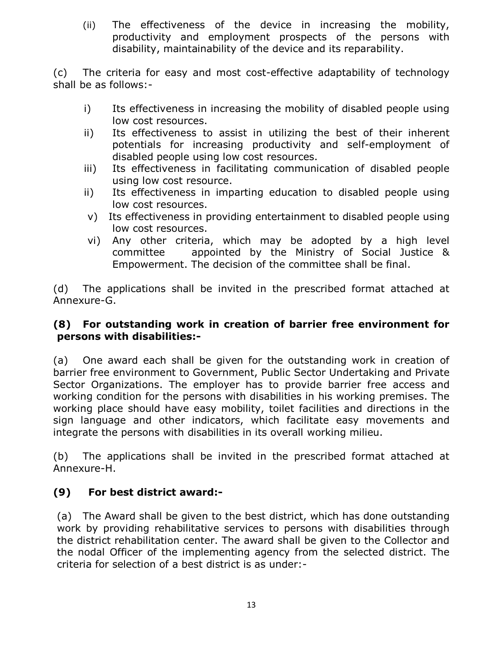(ii) The effectiveness of the device in increasing the mobility, productivity and employment prospects of the persons with disability, maintainability of the device and its reparability.

(c) The criteria for easy and most cost-effective adaptability of technology shall be as follows:-

- i) Its effectiveness in increasing the mobility of disabled people using low cost resources.
- ii) Its effectiveness to assist in utilizing the best of their inherent potentials for increasing productivity and self-employment of disabled people using low cost resources.
- iii) Its effectiveness in facilitating communication of disabled people using low cost resource.
- ii) Its effectiveness in imparting education to disabled people using low cost resources.
- v) Its effectiveness in providing entertainment to disabled people using low cost resources.
- vi) Any other criteria, which may be adopted by a high level committee appointed by the Ministry of Social Justice & Empowerment. The decision of the committee shall be final.

(d) The applications shall be invited in the prescribed format attached at Annexure-G.

## **(8) For outstanding work in creation of barrier free environment for persons with disabilities:-**

(a) One award each shall be given for the outstanding work in creation of barrier free environment to Government, Public Sector Undertaking and Private Sector Organizations. The employer has to provide barrier free access and working condition for the persons with disabilities in his working premises. The working place should have easy mobility, toilet facilities and directions in the sign language and other indicators, which facilitate easy movements and integrate the persons with disabilities in its overall working milieu.

(b) The applications shall be invited in the prescribed format attached at Annexure-H.

# **(9) For best district award:-**

(a) The Award shall be given to the best district, which has done outstanding work by providing rehabilitative services to persons with disabilities through the district rehabilitation center. The award shall be given to the Collector and the nodal Officer of the implementing agency from the selected district. The criteria for selection of a best district is as under:-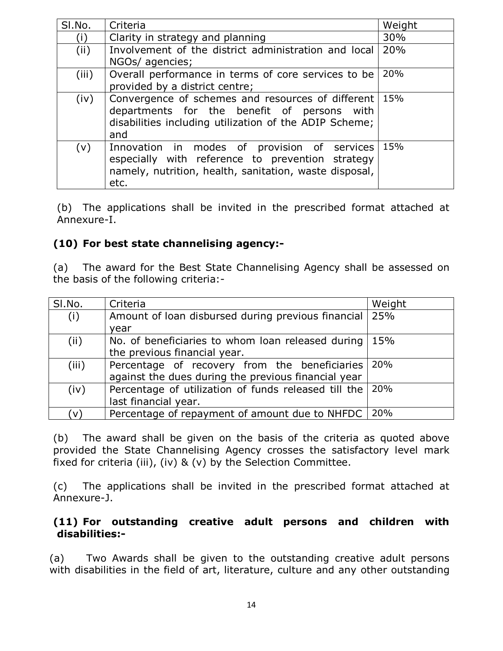| SI.No. | Criteria                                                                                                                                                                | Weight |
|--------|-------------------------------------------------------------------------------------------------------------------------------------------------------------------------|--------|
| (i)    | Clarity in strategy and planning                                                                                                                                        | 30%    |
| (ii)   | Involvement of the district administration and local<br>NGOs/ agencies;                                                                                                 | 20%    |
| (iii)  | Overall performance in terms of core services to be<br>provided by a district centre;                                                                                   | 20%    |
| (iv)   | Convergence of schemes and resources of different   15%<br>departments for the benefit of persons with<br>disabilities including utilization of the ADIP Scheme;<br>and |        |
| (v)    | Innovation in modes of provision of services<br>especially with reference to prevention strategy<br>namely, nutrition, health, sanitation, waste disposal,<br>etc.      | 15%    |

(b) The applications shall be invited in the prescribed format attached at Annexure-I.

# **(10) For best state channelising agency:-**

(a) The award for the Best State Channelising Agency shall be assessed on the basis of the following criteria:-

| SI.No. | Criteria                                                 | Weight           |
|--------|----------------------------------------------------------|------------------|
| (i)    | Amount of loan disbursed during previous financial       | $\frac{125%}{6}$ |
|        | year                                                     |                  |
| (ii)   | No. of beneficiaries to whom loan released during        | 15%              |
|        | the previous financial year.                             |                  |
| (iii)  | Percentage of recovery from the beneficiaries            | 20%              |
|        | against the dues during the previous financial year      |                  |
| (iv)   | Percentage of utilization of funds released till the 20% |                  |
|        | last financial year.                                     |                  |
| (v)    | Percentage of repayment of amount due to NHFDC           | 20%              |

(b) The award shall be given on the basis of the criteria as quoted above provided the State Channelising Agency crosses the satisfactory level mark fixed for criteria (iii), (iv)  $\&$  (v) by the Selection Committee.

(c) The applications shall be invited in the prescribed format attached at Annexure-J.

#### **(11) For outstanding creative adult persons and children with disabilities:-**

(a) Two Awards shall be given to the outstanding creative adult persons with disabilities in the field of art, literature, culture and any other outstanding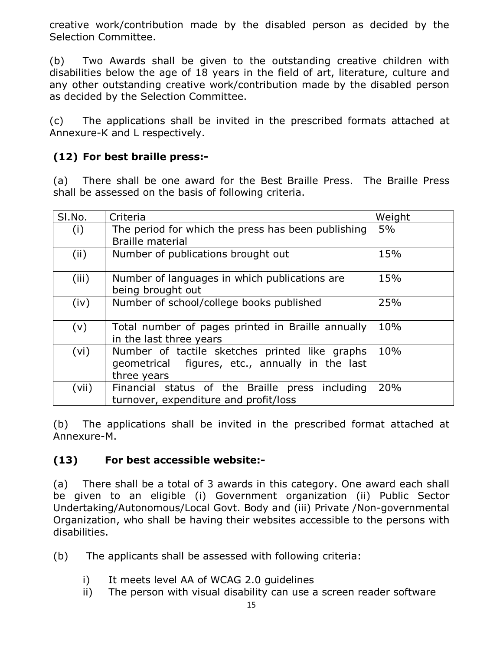creative work/contribution made by the disabled person as decided by the Selection Committee.

(b) Two Awards shall be given to the outstanding creative children with disabilities below the age of 18 years in the field of art, literature, culture and any other outstanding creative work/contribution made by the disabled person as decided by the Selection Committee.

(c) The applications shall be invited in the prescribed formats attached at Annexure-K and L respectively.

# **(12) For best braille press:-**

(a) There shall be one award for the Best Braille Press. The Braille Press shall be assessed on the basis of following criteria.

| SI.No. | Criteria                                                                                                            | Weight |
|--------|---------------------------------------------------------------------------------------------------------------------|--------|
| (i)    | The period for which the press has been publishing<br><b>Braille material</b>                                       | 5%     |
| (ii)   | Number of publications brought out                                                                                  | 15%    |
| (iii)  | Number of languages in which publications are<br>being brought out                                                  | 15%    |
| (iv)   | Number of school/college books published                                                                            | 25%    |
| (v)    | Total number of pages printed in Braille annually<br>in the last three years                                        | 10%    |
| (vi)   | Number of tactile sketches printed like graphs<br>figures, etc., annually in the last<br>qeometrical<br>three years | 10%    |
| (vii)  | Financial status of the Braille press including<br>turnover, expenditure and profit/loss                            | 20%    |

(b) The applications shall be invited in the prescribed format attached at Annexure-M.

# **(13) For best accessible website:-**

(a) There shall be a total of 3 awards in this category. One award each shall be given to an eligible (i) Government organization (ii) Public Sector Undertaking/Autonomous/Local Govt. Body and (iii) Private /Non-governmental Organization, who shall be having their websites accessible to the persons with disabilities.

(b) The applicants shall be assessed with following criteria:

- i) It meets level AA of WCAG 2.0 guidelines
- ii) The person with visual disability can use a screen reader software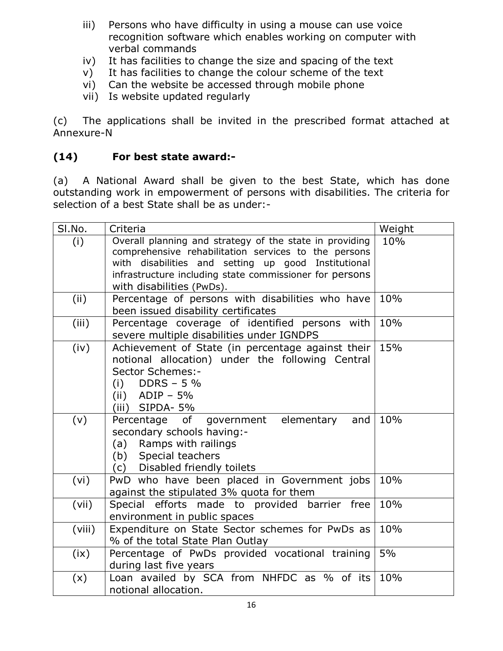- iii) Persons who have difficulty in using a mouse can use voice recognition software which enables working on computer with verbal commands
- iv) It has facilities to change the size and spacing of the text
- v) It has facilities to change the colour scheme of the text
- vi) Can the website be accessed through mobile phone
- vii) Is website updated regularly

(c) The applications shall be invited in the prescribed format attached at Annexure-N

# **(14) For best state award:-**

(a) A National Award shall be given to the best State, which has done outstanding work in empowerment of persons with disabilities. The criteria for selection of a best State shall be as under:-

| SI.No. | Criteria                                                                                                                                                                                                                                                       | Weight |
|--------|----------------------------------------------------------------------------------------------------------------------------------------------------------------------------------------------------------------------------------------------------------------|--------|
| (i)    | Overall planning and strategy of the state in providing<br>comprehensive rehabilitation services to the persons<br>with disabilities and setting up good Institutional<br>infrastructure including state commissioner for persons<br>with disabilities (PwDs). | 10%    |
| (ii)   | Percentage of persons with disabilities who have<br>been issued disability certificates                                                                                                                                                                        | 10%    |
| (iii)  | Percentage coverage of identified persons with<br>severe multiple disabilities under IGNDPS                                                                                                                                                                    | 10%    |
| (iv)   | Achievement of State (in percentage against their<br>notional allocation) under the following Central<br><b>Sector Schemes:-</b><br>DDRS $-5%$<br>(i)<br>(ii) $ADIP - 5%$<br>$(iii)$ SIPDA- 5%                                                                 | 15%    |
| (v)    | Percentage of government elementary<br>and<br>secondary schools having:-<br>Ramps with railings<br>(a)<br>Special teachers<br>(b)<br>Disabled friendly toilets<br>(c) =                                                                                        | 10%    |
| (vi)   | PwD who have been placed in Government jobs<br>against the stipulated 3% quota for them                                                                                                                                                                        | 10%    |
| (vii)  | Special efforts made to provided barrier free<br>environment in public spaces                                                                                                                                                                                  | 10%    |
| (viii) | Expenditure on State Sector schemes for PwDs as<br>% of the total State Plan Outlay                                                                                                                                                                            | 10%    |
| (ix)   | Percentage of PwDs provided vocational training<br>during last five years                                                                                                                                                                                      | 5%     |
| (x)    | Loan availed by SCA from NHFDC as % of its<br>notional allocation.                                                                                                                                                                                             | 10%    |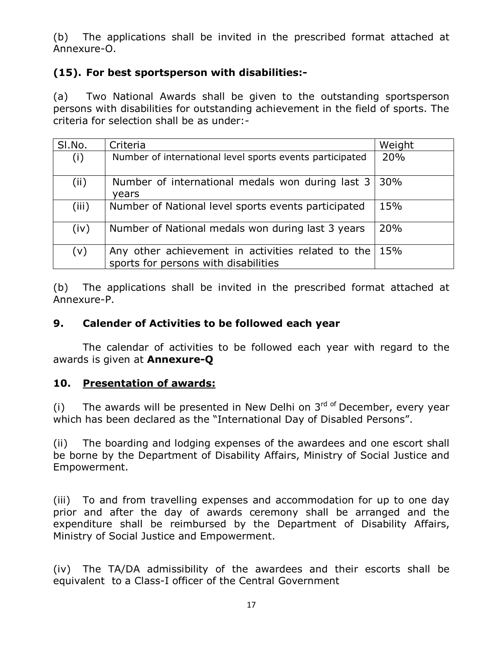(b) The applications shall be invited in the prescribed format attached at Annexure-O.

# **(15). For best sportsperson with disabilities:-**

(a) Two National Awards shall be given to the outstanding sportsperson persons with disabilities for outstanding achievement in the field of sports. The criteria for selection shall be as under:-

| SI.No. | Criteria                                                                                   | Weight |
|--------|--------------------------------------------------------------------------------------------|--------|
| (i)    | Number of international level sports events participated                                   | 20%    |
| (ii)   | Number of international medals won during last 3<br>vears                                  | 30%    |
| (iii)  | Number of National level sports events participated                                        | 15%    |
| (iv)   | Number of National medals won during last 3 years                                          | 20%    |
| (v)    | Any other achievement in activities related to the<br>sports for persons with disabilities | 15%    |

(b) The applications shall be invited in the prescribed format attached at Annexure-P.

## **9. Calender of Activities to be followed each year**

The calendar of activities to be followed each year with regard to the awards is given at **Annexure-Q** 

## **10. Presentation of awards:**

(i) The awards will be presented in New Delhi on  $3<sup>rd of</sup>$  December, every year which has been declared as the "International Day of Disabled Persons".

(ii) The boarding and lodging expenses of the awardees and one escort shall be borne by the Department of Disability Affairs, Ministry of Social Justice and Empowerment.

(iii) To and from travelling expenses and accommodation for up to one day prior and after the day of awards ceremony shall be arranged and the expenditure shall be reimbursed by the Department of Disability Affairs, Ministry of Social Justice and Empowerment.

(iv) The TA/DA admissibility of the awardees and their escorts shall be equivalent to a Class-I officer of the Central Government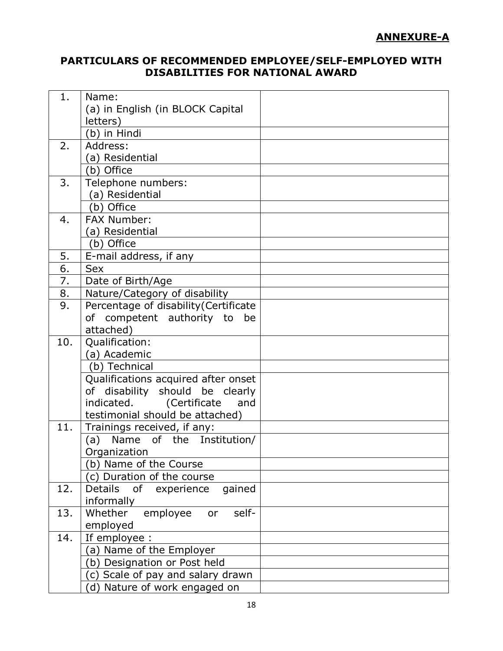#### **ANNEXURE-A**

### **PARTICULARS OF RECOMMENDED EMPLOYEE/SELF-EMPLOYED WITH DISABILITIES FOR NATIONAL AWARD**

| 1.  | Name:                                                   |  |
|-----|---------------------------------------------------------|--|
|     | (a) in English (in BLOCK Capital                        |  |
|     | letters)                                                |  |
|     | (b) in Hindi                                            |  |
| 2.  | Address:                                                |  |
|     | (a) Residential                                         |  |
|     | (b) Office                                              |  |
| 3.  | Telephone numbers:                                      |  |
|     | (a) Residential                                         |  |
|     | b) Office                                               |  |
| 4.  | FAX Number:                                             |  |
|     | (a) Residential                                         |  |
|     | (b) Office                                              |  |
| 5.  | E-mail address, if any                                  |  |
| 6.  | <b>Sex</b>                                              |  |
| 7.  | Date of Birth/Age                                       |  |
| 8.  | Nature/Category of disability                           |  |
| 9.  | Percentage of disability (Certificate                   |  |
|     | of competent authority to be                            |  |
|     | attached)                                               |  |
| 10. | Qualification:                                          |  |
|     | (a) Academic                                            |  |
|     | (b) Technical                                           |  |
|     | Qualifications acquired after onset                     |  |
|     | of disability should be clearly                         |  |
|     | indicated. (Certificate<br>and                          |  |
|     | testimonial should be attached)                         |  |
| 11. | Trainings received, if any:                             |  |
|     | Name of the Institution/<br>(a)                         |  |
|     | Organization                                            |  |
|     | (b) Name of the Course                                  |  |
| 12. | (c) Duration of the course                              |  |
|     | <b>Details</b><br>of experience<br>gained<br>informally |  |
| 13. | employee<br>Whether<br>self-                            |  |
|     | or<br>employed                                          |  |
| 14. | If employee :                                           |  |
|     | (a) Name of the Employer                                |  |
|     | (b) Designation or Post held                            |  |
|     | (c) Scale of pay and salary drawn                       |  |
|     | (d) Nature of work engaged on                           |  |
|     |                                                         |  |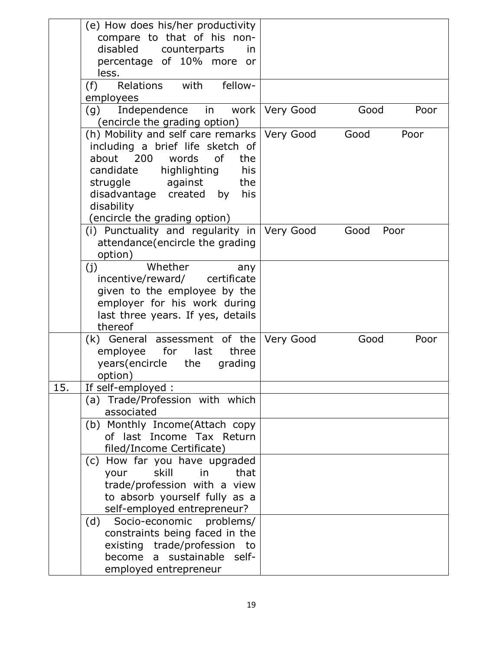|     | (e) How does his/her productivity<br>compare to that of his non-<br>disabled<br>counterparts<br>in<br>percentage of 10% more<br>- or<br>less.<br>fellow-<br>(f)<br>with<br>Relations                                                                                      |           |              |
|-----|---------------------------------------------------------------------------------------------------------------------------------------------------------------------------------------------------------------------------------------------------------------------------|-----------|--------------|
|     | employees<br>Independence in<br>(q)<br>work<br>(encircle the grading option)                                                                                                                                                                                              | Very Good | Good<br>Poor |
|     | (h) Mobility and self care remarks Very Good<br>including a brief life sketch of<br>200<br>of<br>about<br>words<br>the<br>highlighting<br>candidate<br>his<br>struggle<br>the<br>against<br>disadvantage created by<br>his<br>disability<br>(encircle the grading option) |           | Good<br>Poor |
|     | (i) Punctuality and regularity in<br>attendance (encircle the grading<br>option)                                                                                                                                                                                          | Very Good | Good<br>Poor |
|     | Whether<br>(j)<br>any<br>incentive/reward/ certificate<br>given to the employee by the<br>employer for his work during<br>last three years. If yes, details<br>thereof                                                                                                    |           |              |
|     | General assessment of the<br>(k)<br>employee for<br>last<br>three<br>years (encircle<br>grading<br>the<br>option)                                                                                                                                                         | Very Good | Good<br>Poor |
| 15. | If self-employed :<br>(a) Trade/Profession with which                                                                                                                                                                                                                     |           |              |
|     | associated                                                                                                                                                                                                                                                                |           |              |
|     | (b) Monthly Income(Attach copy<br>of last Income Tax Return<br>filed/Income Certificate)                                                                                                                                                                                  |           |              |
|     | How far you have upgraded<br>(C)<br>skill<br>in<br>that<br>your<br>trade/profession with a view<br>to absorb yourself fully as a<br>self-employed entrepreneur?                                                                                                           |           |              |
|     | Socio-economic problems/<br>(d)<br>constraints being faced in the<br>existing trade/profession<br>to<br>become a sustainable self-<br>employed entrepreneur                                                                                                               |           |              |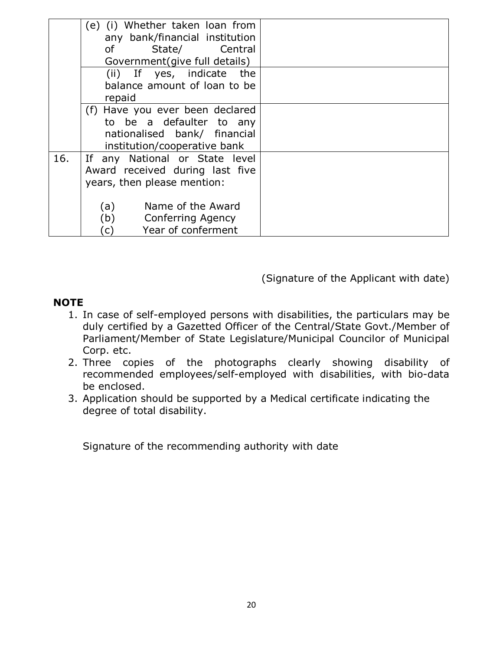|     | (e) (i) Whether taken loan from<br>any bank/financial institution<br>$of$ and $\overline{a}$<br>State/ Central<br>Government(give full details) |  |
|-----|-------------------------------------------------------------------------------------------------------------------------------------------------|--|
|     | (ii) If yes, indicate the<br>balance amount of loan to be<br>repaid                                                                             |  |
|     | Have you ever been declared<br>(f)<br>to be a defaulter to any<br>nationalised bank/ financial<br>institution/cooperative bank                  |  |
| 16. | If any National or State level<br>Award received during last five<br>years, then please mention:                                                |  |
|     | Name of the Award<br>(a)<br>(b)<br>Conferring Agency<br>Year of conferment<br>$\left( $ C $\right)$                                             |  |

(Signature of the Applicant with date)

#### **NOTE**

- 1. In case of self-employed persons with disabilities, the particulars may be duly certified by a Gazetted Officer of the Central/State Govt./Member of Parliament/Member of State Legislature/Municipal Councilor of Municipal Corp. etc.
- 2. Three copies of the photographs clearly showing disability of recommended employees/self-employed with disabilities, with bio-data be enclosed.
- 3. Application should be supported by a Medical certificate indicating the degree of total disability.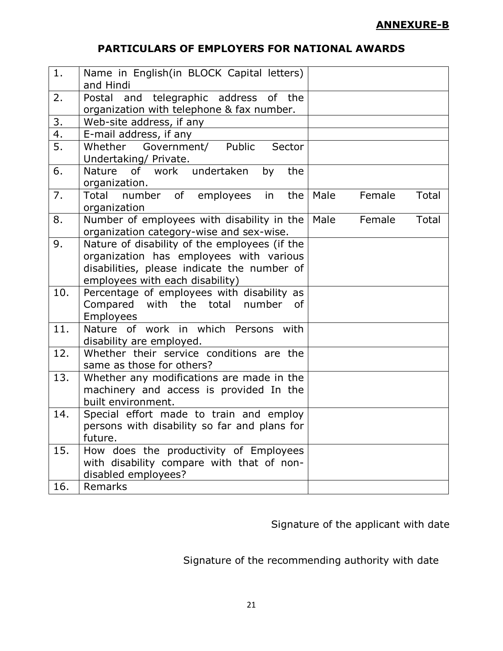## **PARTICULARS OF EMPLOYERS FOR NATIONAL AWARDS**

| 1.               | Name in English(in BLOCK Capital letters)<br>and Hindi                                                                                                                     |      |        |       |
|------------------|----------------------------------------------------------------------------------------------------------------------------------------------------------------------------|------|--------|-------|
| 2.               | Postal and telegraphic address of the<br>organization with telephone & fax number.                                                                                         |      |        |       |
| 3.               | Web-site address, if any                                                                                                                                                   |      |        |       |
| 4.               | E-mail address, if any                                                                                                                                                     |      |        |       |
| $\overline{5}$ . | Government/ Public<br>Whether<br>Sector<br>Undertaking/ Private.                                                                                                           |      |        |       |
| 6.               | of work undertaken<br>Nature<br>by<br>the<br>organization.                                                                                                                 |      |        |       |
| 7.               | Total<br>number of employees<br>the<br>in<br>organization                                                                                                                  | Male | Female | Total |
| 8.               | Number of employees with disability in the<br>organization category-wise and sex-wise.                                                                                     | Male | Female | Total |
| 9.               | Nature of disability of the employees (if the<br>organization has employees with various<br>disabilities, please indicate the number of<br>employees with each disability) |      |        |       |
| 10.              | Percentage of employees with disability as<br>with the total<br>Compared<br>number<br>of<br><b>Employees</b>                                                               |      |        |       |
| 11.              | Nature of work in which Persons with<br>disability are employed.                                                                                                           |      |        |       |
| 12.              | Whether their service conditions are the<br>same as those for others?                                                                                                      |      |        |       |
| 13.              | Whether any modifications are made in the<br>machinery and access is provided In the<br>built environment.                                                                 |      |        |       |
| 14.              | Special effort made to train and employ<br>persons with disability so far and plans for<br>future.                                                                         |      |        |       |
| 15.              | How does the productivity of Employees<br>with disability compare with that of non-<br>disabled employees?                                                                 |      |        |       |
| 16.              | Remarks                                                                                                                                                                    |      |        |       |

# Signature of the applicant with date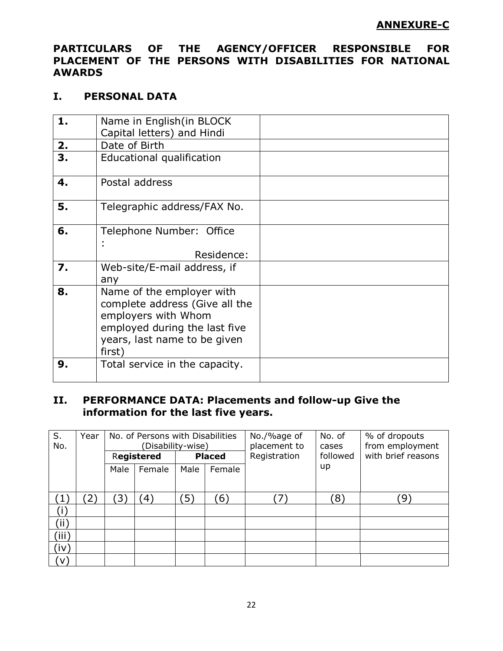#### **PARTICULARS OF THE AGENCY/OFFICER RESPONSIBLE FOR PLACEMENT OF THE PERSONS WITH DISABILITIES FOR NATIONAL AWARDS**

#### **I. PERSONAL DATA**

| 1. | Name in English (in BLOCK                                                                                                                                     |
|----|---------------------------------------------------------------------------------------------------------------------------------------------------------------|
|    | Capital letters) and Hindi                                                                                                                                    |
| 2. | Date of Birth                                                                                                                                                 |
| 3. | Educational qualification                                                                                                                                     |
| 4. | Postal address                                                                                                                                                |
| 5. | Telegraphic address/FAX No.                                                                                                                                   |
| 6. | Telephone Number: Office<br>Residence:                                                                                                                        |
| 7. | Web-site/E-mail address, if<br>any                                                                                                                            |
| 8. | Name of the employer with<br>complete address (Give all the<br>employers with Whom<br>employed during the last five<br>years, last name to be given<br>first) |
| 9. | Total service in the capacity.                                                                                                                                |

#### **II. PERFORMANCE DATA: Placements and follow-up Give the information for the last five years.**

| S.<br>No.        | Year | No. of Persons with Disabilities<br>(Disability-wise) |                   |                  | No./%age of<br>placement to | No. of<br>cases | % of dropouts<br>from employment<br>with brief reasons |            |
|------------------|------|-------------------------------------------------------|-------------------|------------------|-----------------------------|-----------------|--------------------------------------------------------|------------|
|                  |      | Registered<br><b>Placed</b>                           |                   | Registration     | followed                    |                 |                                                        |            |
|                  |      | Male                                                  | Female            | Male             | Female                      |                 | up                                                     |            |
|                  |      |                                                       |                   |                  |                             |                 |                                                        |            |
| $\mathbf{1}$     | 2)   | 3)                                                    | $\left( 4\right)$ | $\left(5\right)$ | (6)                         |                 | ้8)                                                    | <u>َ و</u> |
| (i`              |      |                                                       |                   |                  |                             |                 |                                                        |            |
| (ii)             |      |                                                       |                   |                  |                             |                 |                                                        |            |
| $^{\prime}$ iii` |      |                                                       |                   |                  |                             |                 |                                                        |            |
| (iv)             |      |                                                       |                   |                  |                             |                 |                                                        |            |
| V)               |      |                                                       |                   |                  |                             |                 |                                                        |            |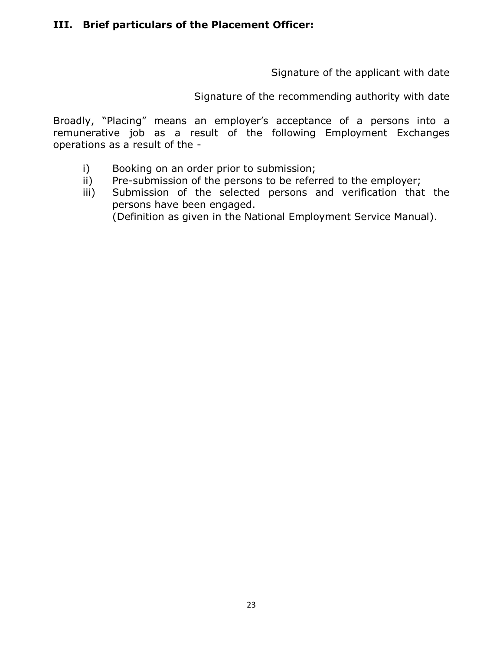## **III. Brief particulars of the Placement Officer:**

Signature of the applicant with date

Signature of the recommending authority with date

Broadly, "Placing" means an employer's acceptance of a persons into a remunerative job as a result of the following Employment Exchanges operations as a result of the -

- i) Booking on an order prior to submission;
- ii) Pre-submission of the persons to be referred to the employer;
- iii) Submission of the selected persons and verification that the persons have been engaged.

(Definition as given in the National Employment Service Manual).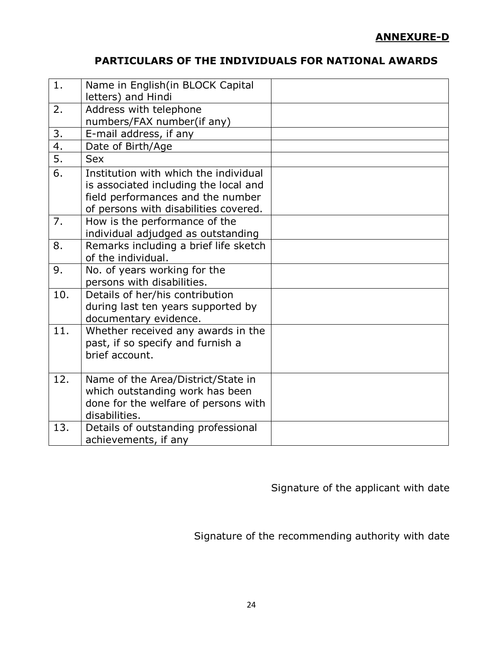# **PARTICULARS OF THE INDIVIDUALS FOR NATIONAL AWARDS**

| 1.               | Name in English(in BLOCK Capital<br>letters) and Hindi                                                                                                       |  |
|------------------|--------------------------------------------------------------------------------------------------------------------------------------------------------------|--|
| 2.               | Address with telephone<br>numbers/FAX number(if any)                                                                                                         |  |
| 3.               | E-mail address, if any                                                                                                                                       |  |
| $\overline{4}$ . | Date of Birth/Age                                                                                                                                            |  |
| $\overline{5}$ . | <b>Sex</b>                                                                                                                                                   |  |
| 6.               | Institution with which the individual<br>is associated including the local and<br>field performances and the number<br>of persons with disabilities covered. |  |
| 7.               | How is the performance of the<br>individual adjudged as outstanding                                                                                          |  |
| 8.               | Remarks including a brief life sketch<br>of the individual.                                                                                                  |  |
| 9.               | No. of years working for the<br>persons with disabilities.                                                                                                   |  |
| 10.              | Details of her/his contribution<br>during last ten years supported by<br>documentary evidence.                                                               |  |
| 11.              | Whether received any awards in the<br>past, if so specify and furnish a<br>brief account.                                                                    |  |
| 12.              | Name of the Area/District/State in<br>which outstanding work has been<br>done for the welfare of persons with<br>disabilities.                               |  |
| 13.              | Details of outstanding professional<br>achievements, if any                                                                                                  |  |

Signature of the applicant with date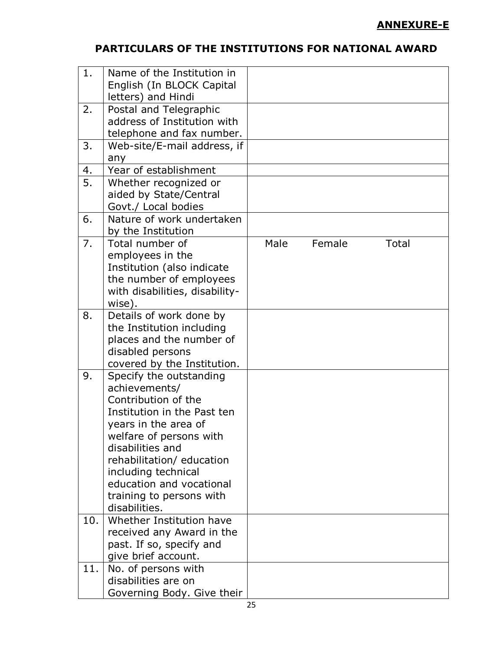# **PARTICULARS OF THE INSTITUTIONS FOR NATIONAL AWARD**

| 1.  | Name of the Institution in<br>English (In BLOCK Capital<br>letters) and Hindi                                                                                                                                                                                                                     |      |        |       |
|-----|---------------------------------------------------------------------------------------------------------------------------------------------------------------------------------------------------------------------------------------------------------------------------------------------------|------|--------|-------|
| 2.  | Postal and Telegraphic<br>address of Institution with<br>telephone and fax number.                                                                                                                                                                                                                |      |        |       |
| 3.  | Web-site/E-mail address, if<br>any                                                                                                                                                                                                                                                                |      |        |       |
| 4.  | Year of establishment                                                                                                                                                                                                                                                                             |      |        |       |
| 5.  | Whether recognized or<br>aided by State/Central<br>Govt./ Local bodies                                                                                                                                                                                                                            |      |        |       |
| 6.  | Nature of work undertaken<br>by the Institution                                                                                                                                                                                                                                                   |      |        |       |
| 7.  | Total number of<br>employees in the<br>Institution (also indicate<br>the number of employees<br>with disabilities, disability-<br>wise).                                                                                                                                                          | Male | Female | Total |
| 8.  | Details of work done by<br>the Institution including<br>places and the number of<br>disabled persons<br>covered by the Institution.                                                                                                                                                               |      |        |       |
| 9.  | Specify the outstanding<br>achievements/<br>Contribution of the<br>Institution in the Past ten<br>years in the area of<br>welfare of persons with<br>disabilities and<br>rehabilitation/education<br>including technical<br>education and vocational<br>training to persons with<br>disabilities. |      |        |       |
| 10. | Whether Institution have<br>received any Award in the<br>past. If so, specify and<br>give brief account.                                                                                                                                                                                          |      |        |       |
| 11. | No. of persons with<br>disabilities are on<br>Governing Body. Give their                                                                                                                                                                                                                          |      |        |       |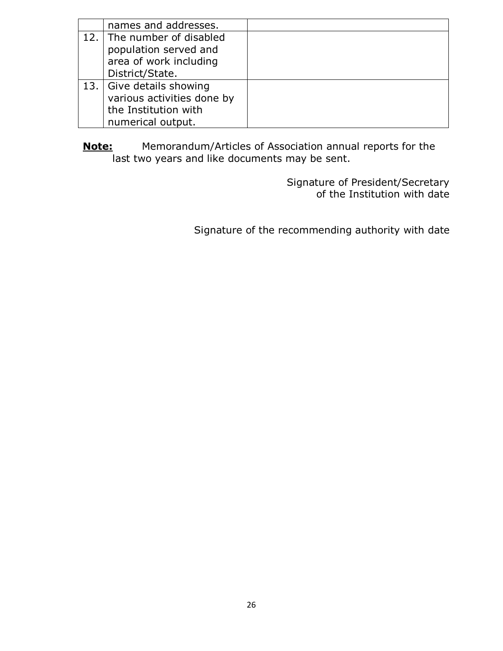| names and addresses.       |  |
|----------------------------|--|
| 12. The number of disabled |  |
| population served and      |  |
| area of work including     |  |
| District/State.            |  |
| 13. Give details showing   |  |
| various activities done by |  |
| the Institution with       |  |
| numerical output.          |  |

**Note:** Memorandum/Articles of Association annual reports for the last two years and like documents may be sent.

> Signature of President/Secretary of the Institution with date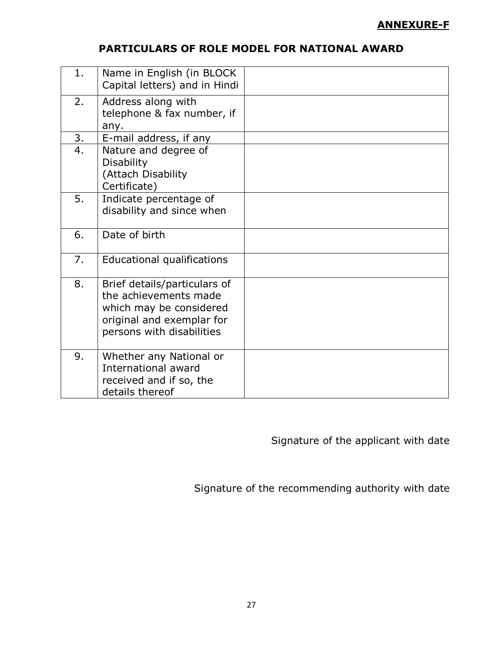# **PARTICULARS OF ROLE MODEL FOR NATIONAL AWARD**

| 1. | Name in English (in BLOCK<br>Capital letters) and in Hindi                                                                                 |  |
|----|--------------------------------------------------------------------------------------------------------------------------------------------|--|
| 2. | Address along with<br>telephone & fax number, if<br>any.                                                                                   |  |
| 3. | E-mail address, if any                                                                                                                     |  |
| 4. | Nature and degree of<br><b>Disability</b><br>(Attach Disability<br>Certificate)                                                            |  |
| 5. | Indicate percentage of<br>disability and since when                                                                                        |  |
| 6. | Date of birth                                                                                                                              |  |
| 7. | Educational qualifications                                                                                                                 |  |
| 8. | Brief details/particulars of<br>the achievements made<br>which may be considered<br>original and exemplar for<br>persons with disabilities |  |
| 9. | Whether any National or<br>International award<br>received and if so, the<br>details thereof                                               |  |

Signature of the applicant with date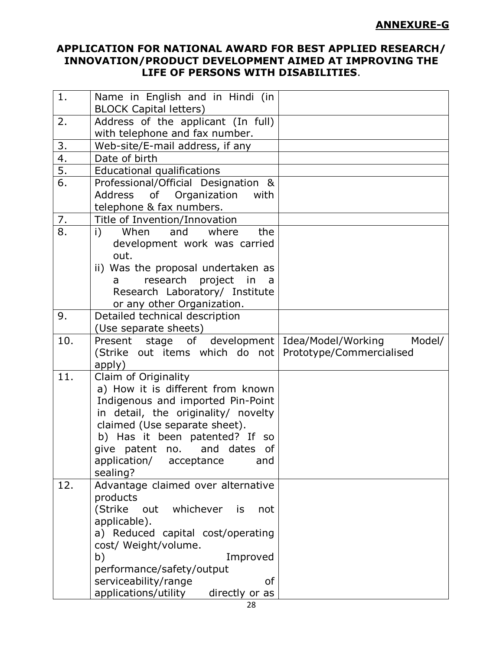#### **APPLICATION FOR NATIONAL AWARD FOR BEST APPLIED RESEARCH/ INNOVATION/PRODUCT DEVELOPMENT AIMED AT IMPROVING THE LIFE OF PERSONS WITH DISABILITIES**.

| 1.  | Name in English and in Hindi (in                                     |                          |
|-----|----------------------------------------------------------------------|--------------------------|
|     | <b>BLOCK Capital letters)</b>                                        |                          |
| 2.  | Address of the applicant (In full)<br>with telephone and fax number. |                          |
| 3.  | Web-site/E-mail address, if any                                      |                          |
| 4.  | Date of birth                                                        |                          |
| 5.  | Educational qualifications                                           |                          |
| 6.  | Professional/Official Designation &                                  |                          |
|     | Address<br>of Organization<br>with                                   |                          |
|     | telephone & fax numbers.                                             |                          |
| 7.  | Title of Invention/Innovation                                        |                          |
| 8.  | When and<br>where<br>the<br>i)                                       |                          |
|     | development work was carried                                         |                          |
|     | out.                                                                 |                          |
|     | ii) Was the proposal undertaken as                                   |                          |
|     | research project in<br>a.<br>a                                       |                          |
|     | Research Laboratory/ Institute                                       |                          |
|     | or any other Organization.                                           |                          |
| 9.  | Detailed technical description                                       |                          |
|     | (Use separate sheets)                                                |                          |
| 10. | Present stage of development   Idea/Model/Working                    | Model/                   |
|     | (Strike out items which do not                                       | Prototype/Commercialised |
|     | apply)                                                               |                          |
| 11. | Claim of Originality                                                 |                          |
|     | a) How it is different from known                                    |                          |
|     | Indigenous and imported Pin-Point                                    |                          |
|     | in detail, the originality/ novelty<br>claimed (Use separate sheet). |                          |
|     | b) Has it been patented? If so                                       |                          |
|     | give patent no. and dates of                                         |                          |
|     | application/<br>acceptance<br>and                                    |                          |
|     | sealing?                                                             |                          |
| 12. | Advantage claimed over alternative                                   |                          |
|     | products                                                             |                          |
|     | (Strike<br>whichever<br>out<br>is<br>not                             |                          |
|     | applicable).                                                         |                          |
|     | a) Reduced capital cost/operating                                    |                          |
|     | cost/ Weight/volume.                                                 |                          |
|     | b)<br>Improved                                                       |                          |
|     | performance/safety/output                                            |                          |
|     | serviceability/range<br>of                                           |                          |
|     | applications/utility<br>directly or as                               |                          |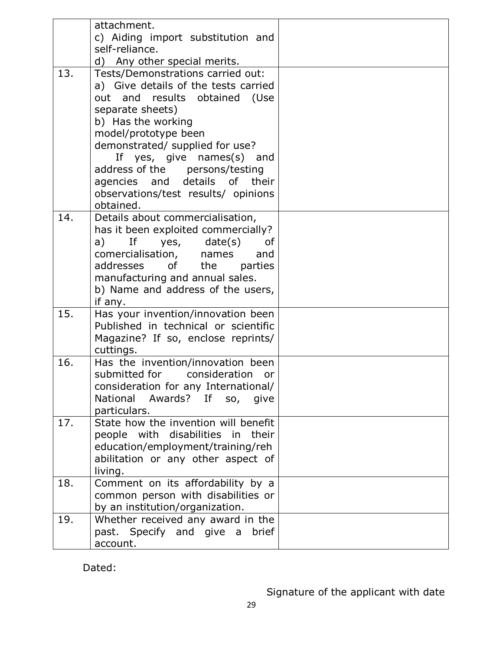|     | attachment.                                                           |  |
|-----|-----------------------------------------------------------------------|--|
|     | c) Aiding import substitution and                                     |  |
|     | self-reliance.                                                        |  |
|     | d) Any other special merits.                                          |  |
| 13. | Tests/Demonstrations carried out:                                     |  |
|     | a) Give details of the tests carried                                  |  |
|     | out and results obtained (Use                                         |  |
|     | separate sheets)<br>b) Has the working                                |  |
|     | model/prototype been                                                  |  |
|     | demonstrated/ supplied for use?                                       |  |
|     | If yes, give names(s) and                                             |  |
|     | address of the persons/testing                                        |  |
|     | agencies and details of their                                         |  |
|     | observations/test results/ opinions                                   |  |
|     | obtained.                                                             |  |
| 14. | Details about commercialisation,                                      |  |
|     | has it been exploited commercially?                                   |  |
|     | a) If yes, date(s)<br>0f                                              |  |
|     | comercialisation, names<br>and                                        |  |
|     | addresses of the parties                                              |  |
|     | manufacturing and annual sales.                                       |  |
|     | b) Name and address of the users,                                     |  |
|     | if any.                                                               |  |
| 15. | Has your invention/innovation been                                    |  |
|     | Published in technical or scientific                                  |  |
|     | Magazine? If so, enclose reprints/<br>cuttings.                       |  |
| 16. | Has the invention/innovation been                                     |  |
|     | submitted for consideration<br>or                                     |  |
|     | consideration for any International/                                  |  |
|     | National Awards? If so,<br>give                                       |  |
|     | particulars.                                                          |  |
| 17. | State how the invention will benefit                                  |  |
|     | people with disabilities in their                                     |  |
|     | education/employment/training/reh                                     |  |
|     | abilitation or any other aspect of                                    |  |
|     | living.                                                               |  |
| 18. | Comment on its affordability by a                                     |  |
|     | common person with disabilities or<br>by an institution/organization. |  |
| 19. | Whether received any award in the                                     |  |
|     | past. Specify and give a<br>brief                                     |  |
|     | account.                                                              |  |
|     |                                                                       |  |

Dated:

Signature of the applicant with date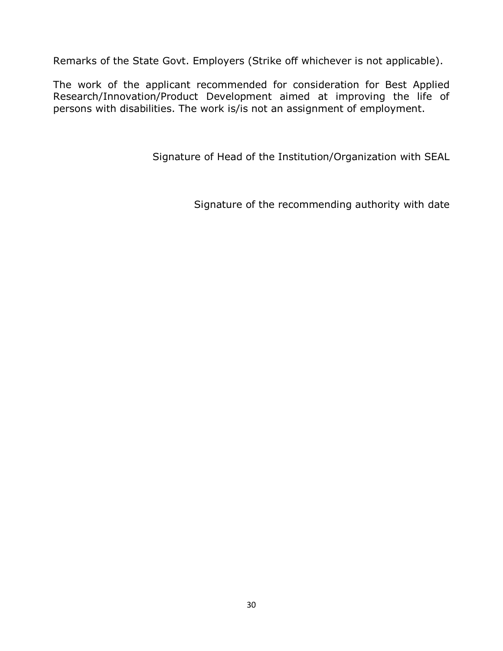Remarks of the State Govt. Employers (Strike off whichever is not applicable).

The work of the applicant recommended for consideration for Best Applied Research/Innovation/Product Development aimed at improving the life of persons with disabilities. The work is/is not an assignment of employment.

Signature of Head of the Institution/Organization with SEAL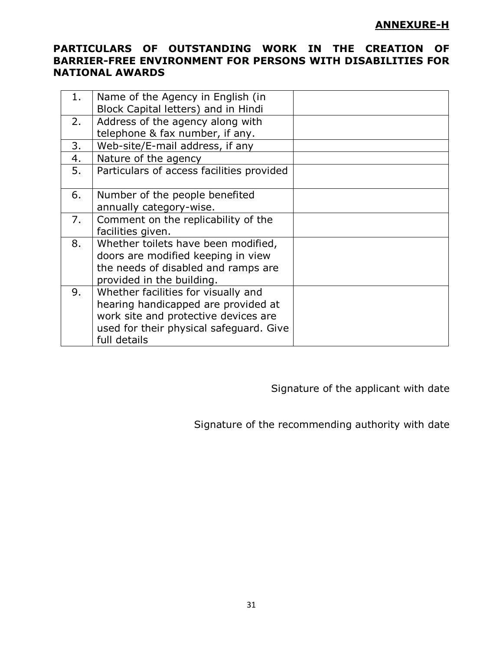#### **PARTICULARS OF OUTSTANDING WORK IN THE CREATION OF BARRIER-FREE ENVIRONMENT FOR PERSONS WITH DISABILITIES FOR NATIONAL AWARDS**

| 1. | Name of the Agency in English (in<br>Block Capital letters) and in Hindi                                                                                                      |  |
|----|-------------------------------------------------------------------------------------------------------------------------------------------------------------------------------|--|
| 2. | Address of the agency along with<br>telephone & fax number, if any.                                                                                                           |  |
| 3. | Web-site/E-mail address, if any                                                                                                                                               |  |
| 4. | Nature of the agency                                                                                                                                                          |  |
| 5. | Particulars of access facilities provided                                                                                                                                     |  |
| 6. | Number of the people benefited<br>annually category-wise.                                                                                                                     |  |
| 7. | Comment on the replicability of the<br>facilities given.                                                                                                                      |  |
| 8. | Whether toilets have been modified,<br>doors are modified keeping in view<br>the needs of disabled and ramps are<br>provided in the building.                                 |  |
| 9. | Whether facilities for visually and<br>hearing handicapped are provided at<br>work site and protective devices are<br>used for their physical safeguard. Give<br>full details |  |

Signature of the applicant with date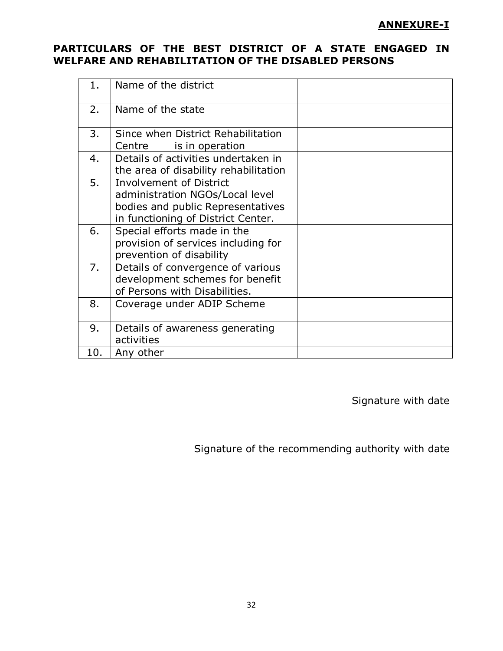## **PARTICULARS OF THE BEST DISTRICT OF A STATE ENGAGED IN WELFARE AND REHABILITATION OF THE DISABLED PERSONS**

| 1.  | Name of the district                                                                                                                         |  |
|-----|----------------------------------------------------------------------------------------------------------------------------------------------|--|
| 2.  | Name of the state                                                                                                                            |  |
| 3.  | Since when District Rehabilitation<br>Centre<br>is in operation                                                                              |  |
| 4.  | Details of activities undertaken in<br>the area of disability rehabilitation                                                                 |  |
| 5.  | <b>Involvement of District</b><br>administration NGOs/Local level<br>bodies and public Representatives<br>in functioning of District Center. |  |
| 6.  | Special efforts made in the<br>provision of services including for<br>prevention of disability                                               |  |
| 7.  | Details of convergence of various<br>development schemes for benefit<br>of Persons with Disabilities.                                        |  |
| 8.  | Coverage under ADIP Scheme                                                                                                                   |  |
| 9.  | Details of awareness generating<br>activities                                                                                                |  |
| 10. | Any other                                                                                                                                    |  |

Signature with date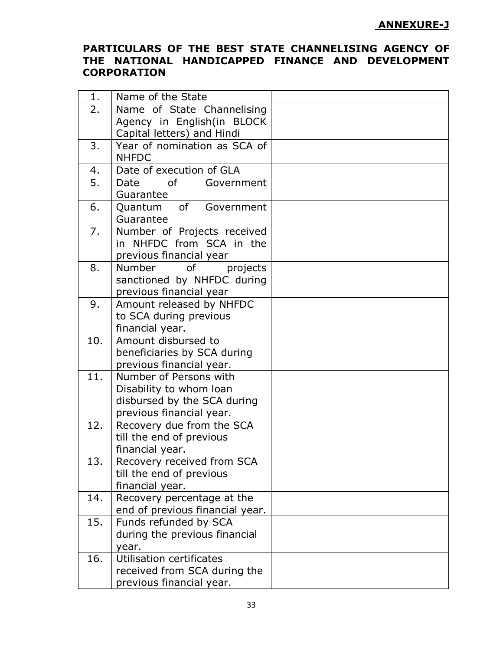#### **PARTICULARS OF THE BEST STATE CHANNELISING AGENCY OF THE NATIONAL HANDICAPPED FINANCE AND DEVELOPMENT CORPORATION**

| 1.  | Name of the State                                   |  |
|-----|-----------------------------------------------------|--|
| 2.  | Name of State Channelising                          |  |
|     | Agency in English(in BLOCK                          |  |
|     | Capital letters) and Hindi                          |  |
| 3.  | Year of nomination as SCA of                        |  |
|     | <b>NHFDC</b>                                        |  |
| 4.  | Date of execution of GLA                            |  |
| 5.  | Date<br>$of$ and $\overline{a}$<br>Government       |  |
|     | Guarantee                                           |  |
| 6.  | Quantum of Government                               |  |
|     | Guarantee                                           |  |
| 7.  | Number of Projects received                         |  |
|     | in NHFDC from SCA in the                            |  |
|     | previous financial year                             |  |
| 8.  | Number of<br>projects                               |  |
|     | sanctioned by NHFDC during                          |  |
| 9.  | previous financial year<br>Amount released by NHFDC |  |
|     | to SCA during previous                              |  |
|     | financial year.                                     |  |
| 10. | Amount disbursed to                                 |  |
|     | beneficiaries by SCA during                         |  |
|     | previous financial year.                            |  |
| 11. | Number of Persons with                              |  |
|     | Disability to whom loan                             |  |
|     | disbursed by the SCA during                         |  |
|     | previous financial year.                            |  |
| 12. | Recovery due from the SCA                           |  |
|     | till the end of previous                            |  |
|     | financial year.                                     |  |
| 13. | Recovery received from SCA                          |  |
|     | till the end of previous                            |  |
|     | financial year.                                     |  |
| 14. | Recovery percentage at the                          |  |
|     | end of previous financial year.                     |  |
| 15. | Funds refunded by SCA                               |  |
|     | during the previous financial                       |  |
| 16. | year.<br>Utilisation certificates                   |  |
|     | received from SCA during the                        |  |
|     | previous financial year.                            |  |
|     |                                                     |  |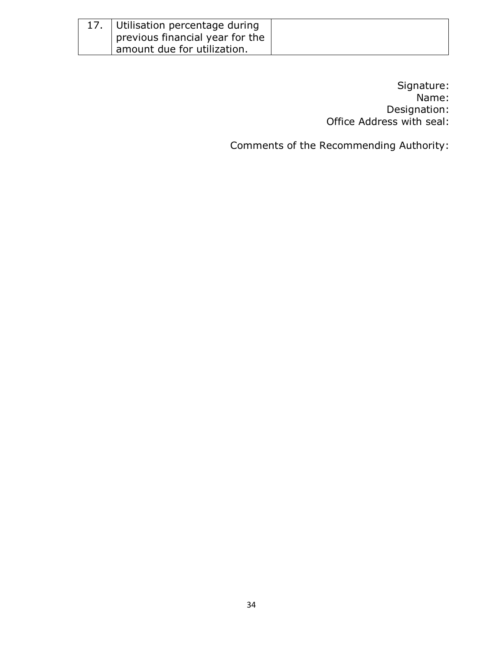| 17. Utilisation percentage during |  |
|-----------------------------------|--|
| previous financial year for the   |  |
| amount due for utilization.       |  |

 Signature: Name: Designation: Office Address with seal:

Comments of the Recommending Authority: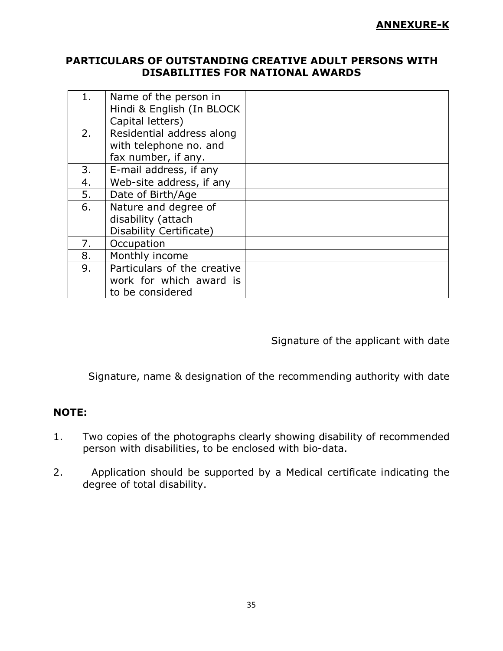#### **ANNEXURE-K**

#### **PARTICULARS OF OUTSTANDING CREATIVE ADULT PERSONS WITH DISABILITIES FOR NATIONAL AWARDS**

| 1. | Name of the person in<br>Hindi & English (In BLOCK)                        |  |
|----|----------------------------------------------------------------------------|--|
|    | Capital letters)                                                           |  |
| 2. | Residential address along<br>with telephone no. and<br>fax number, if any. |  |
| 3. | E-mail address, if any                                                     |  |
| 4. | Web-site address, if any                                                   |  |
| 5. | Date of Birth/Age                                                          |  |
| 6. | Nature and degree of                                                       |  |
|    | disability (attach                                                         |  |
|    | Disability Certificate)                                                    |  |
| 7. | Occupation                                                                 |  |
| 8. | Monthly income                                                             |  |
| 9. | Particulars of the creative                                                |  |
|    | work for which award is                                                    |  |
|    | to be considered                                                           |  |

Signature of the applicant with date

Signature, name & designation of the recommending authority with date

#### **NOTE:**

- 1. Two copies of the photographs clearly showing disability of recommended person with disabilities, to be enclosed with bio-data.
- 2. Application should be supported by a Medical certificate indicating the degree of total disability.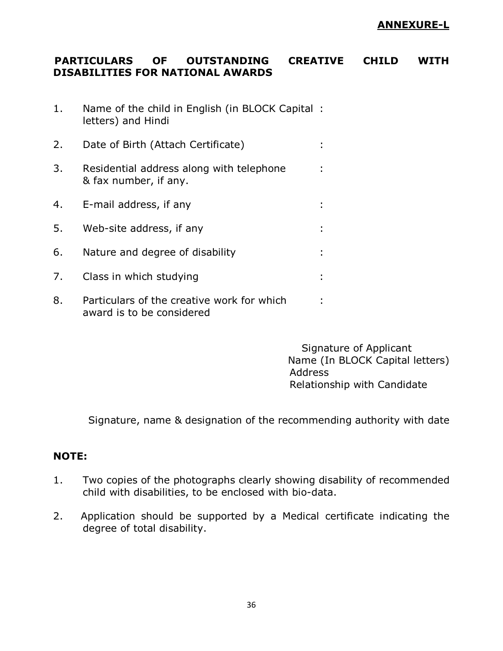#### **ANNEXURE-L**

### **PARTICULARS OF OUTSTANDING CREATIVE CHILD WITH DISABILITIES FOR NATIONAL AWARDS**

- 1. Name of the child in English (in BLOCK Capital : letters) and Hindi
- 2. Date of Birth (Attach Certificate) :
- 3. Residential address along with telephone : & fax number, if any.
- 4. E-mail address, if any :
- 5. Web-site address, if any : 6. Nature and degree of disability :
- 7. Class in which studying :
- 8. Particulars of the creative work for which : award is to be considered

 Signature of Applicant Name (In BLOCK Capital letters) Address Relationship with Candidate

Signature, name & designation of the recommending authority with date

#### **NOTE:**

- 1. Two copies of the photographs clearly showing disability of recommended child with disabilities, to be enclosed with bio-data.
- 2. Application should be supported by a Medical certificate indicating the degree of total disability.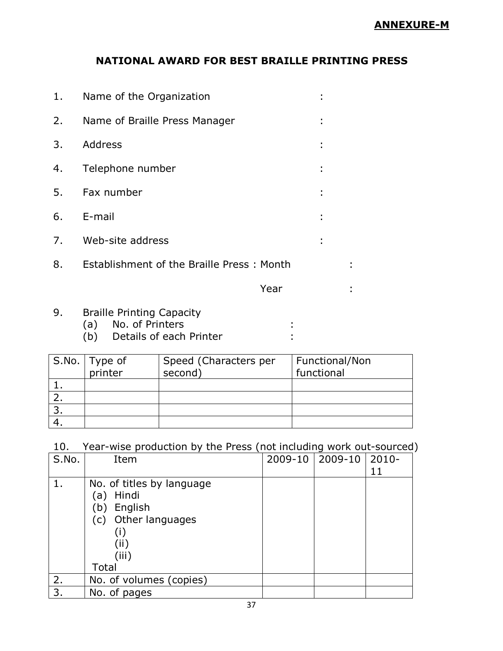### **NATIONAL AWARD FOR BEST BRAILLE PRINTING PRESS**

| 1. | Name of the Organization                  |      |  |
|----|-------------------------------------------|------|--|
| 2. | Name of Braille Press Manager             |      |  |
| 3. | Address                                   |      |  |
| 4. | Telephone number                          |      |  |
|    | 5. Fax number                             |      |  |
| 6. | E-mail                                    |      |  |
| 7. | Web-site address                          |      |  |
| 8. | Establishment of the Braille Press: Month |      |  |
|    |                                           | Year |  |
|    |                                           |      |  |

### 9. Braille Printing Capacity

- (a) No. of Printers :
	- (b) Details of each Printer :

| S.No.   Type of<br>printer | Speed (Characters per<br>second) | Functional/Non<br>functional |
|----------------------------|----------------------------------|------------------------------|
|                            |                                  |                              |
|                            |                                  |                              |
|                            |                                  |                              |
|                            |                                  |                              |

## 10. Year-wise production by the Press (not including work out-sourced)

| S.No. | Item                      | 2009-10 | 2009-10 | $2010 -$ |
|-------|---------------------------|---------|---------|----------|
|       |                           |         |         |          |
|       | No. of titles by language |         |         |          |
|       | Hindi<br>$\mathsf{a}$     |         |         |          |
|       | English<br>b)             |         |         |          |
|       | Other languages<br>(c)    |         |         |          |
|       |                           |         |         |          |
|       | (ii)                      |         |         |          |
|       | (iii)                     |         |         |          |
|       | Total                     |         |         |          |
| 2.    | No. of volumes (copies)   |         |         |          |
| 3.    | No. of pages              |         |         |          |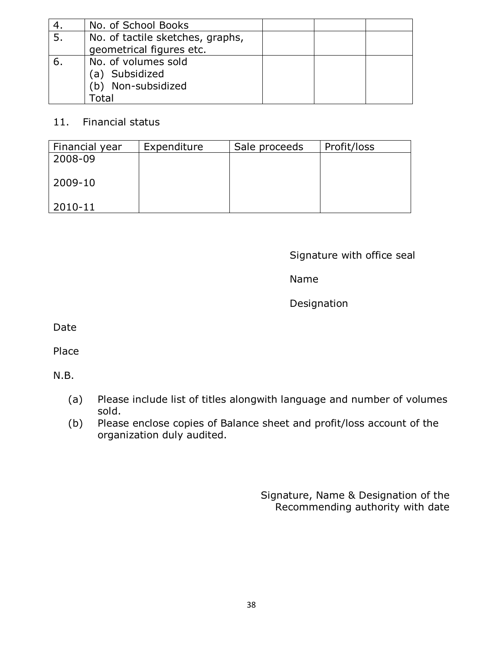|    | No. of School Books              |  |  |
|----|----------------------------------|--|--|
|    | No. of tactile sketches, graphs, |  |  |
|    | geometrical figures etc.         |  |  |
| 6. | No. of volumes sold              |  |  |
|    | (a) Subsidized                   |  |  |
|    | (b) Non-subsidized               |  |  |
|    | otal                             |  |  |

#### 11. Financial status

| Financial year | Expenditure | Sale proceeds | Profit/loss |
|----------------|-------------|---------------|-------------|
| 2008-09        |             |               |             |
|                |             |               |             |
| 2009-10        |             |               |             |
|                |             |               |             |
| 2010-11        |             |               |             |

Signature with office seal

Name

Designation

Date

Place

N.B.

- (a) Please include list of titles alongwith language and number of volumes sold.
- (b) Please enclose copies of Balance sheet and profit/loss account of the organization duly audited.

Signature, Name & Designation of the Recommending authority with date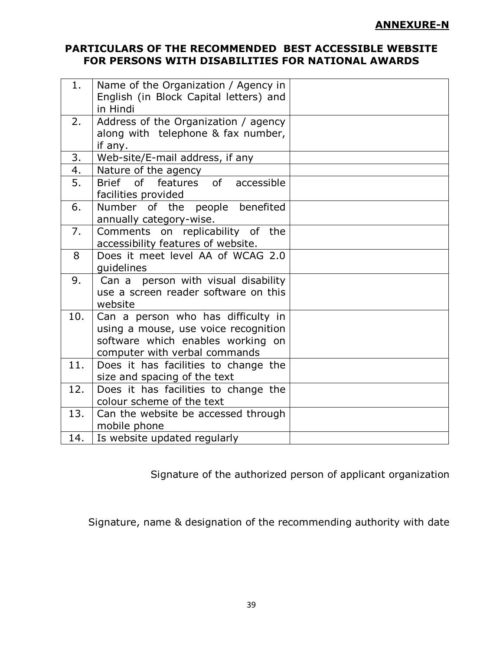#### **PARTICULARS OF THE RECOMMENDED BEST ACCESSIBLE WEBSITE FOR PERSONS WITH DISABILITIES FOR NATIONAL AWARDS**

| 1.  | Name of the Organization / Agency in<br>English (in Block Capital letters) and<br>in Hindi                                                       |  |
|-----|--------------------------------------------------------------------------------------------------------------------------------------------------|--|
| 2.  | Address of the Organization / agency<br>along with telephone & fax number,<br>if any.                                                            |  |
| 3.  | Web-site/E-mail address, if any                                                                                                                  |  |
| 4.  | Nature of the agency                                                                                                                             |  |
| 5.  | Brief of features of<br>accessible<br>facilities provided                                                                                        |  |
| 6.  | Number of the people<br>benefited<br>annually category-wise.                                                                                     |  |
| 7.  | Comments on replicability of the<br>accessibility features of website.                                                                           |  |
| 8   | Does it meet level AA of WCAG 2.0<br>quidelines                                                                                                  |  |
| 9.  | Can a person with visual disability<br>use a screen reader software on this<br>website                                                           |  |
| 10. | Can a person who has difficulty in<br>using a mouse, use voice recognition<br>software which enables working on<br>computer with verbal commands |  |
| 11. | Does it has facilities to change the<br>size and spacing of the text                                                                             |  |
| 12. | Does it has facilities to change the<br>colour scheme of the text                                                                                |  |
| 13. | Can the website be accessed through<br>mobile phone                                                                                              |  |
| 14. | Is website updated regularly                                                                                                                     |  |

Signature of the authorized person of applicant organization

Signature, name & designation of the recommending authority with date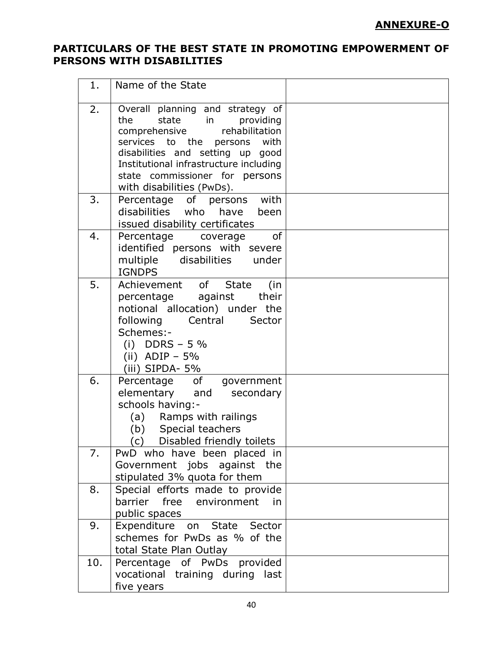#### **PARTICULARS OF THE BEST STATE IN PROMOTING EMPOWERMENT OF PERSONS WITH DISABILITIES**

| 1.  | Name of the State                                                                                                                                                                                                                                                                |  |
|-----|----------------------------------------------------------------------------------------------------------------------------------------------------------------------------------------------------------------------------------------------------------------------------------|--|
| 2.  | Overall planning and strategy of<br>state in<br>the<br>providing<br>rehabilitation<br>comprehensive<br>services to the persons with<br>disabilities and setting up good<br>Institutional infrastructure including<br>state commissioner for persons<br>with disabilities (PwDs). |  |
| 3.  | Percentage of persons with<br>disabilities who have<br>been<br>issued disability certificates                                                                                                                                                                                    |  |
| 4.  | $\mathsf{of}$<br>Percentage coverage<br>identified persons with severe<br>multiple disabilities under<br><b>IGNDPS</b>                                                                                                                                                           |  |
| 5.  | Achievement of<br>(in<br><b>State</b><br>percentage against<br>their<br>notional allocation) under the<br>following Central Sector<br>Schemes:-<br>(i) DDRS $-5%$<br>(ii) $ADIP - 5%$<br>(iii) SIPDA- 5%                                                                         |  |
| 6.  | Percentage of government<br>elementary and<br>secondary<br>schools having:-<br>(a) Ramps with railings<br>(b) Special teachers<br>Disabled friendly toilets<br>(c)                                                                                                               |  |
| 7.  | PwD who have been placed in<br>Government jobs against the<br>stipulated 3% guota for them                                                                                                                                                                                       |  |
| 8.  | Special efforts made to provide<br>barrier free environment<br>in<br>public spaces                                                                                                                                                                                               |  |
| 9.  | Expenditure on State Sector<br>schemes for PwDs as % of the<br>total State Plan Outlay                                                                                                                                                                                           |  |
| 10. | Percentage of PwDs provided<br>vocational training during last<br>five years                                                                                                                                                                                                     |  |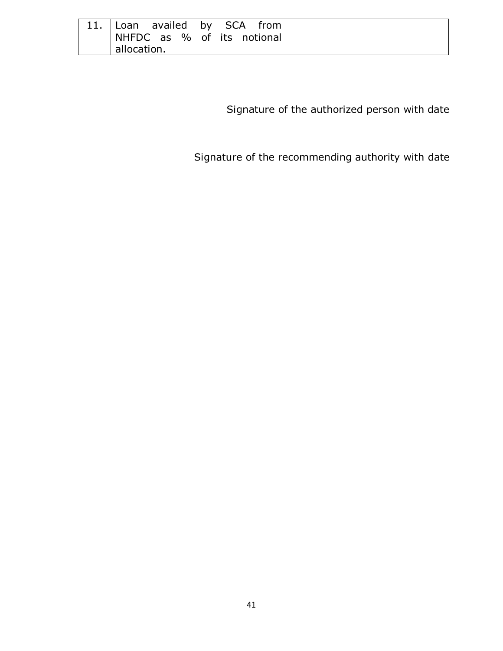| 11. Loan availed by SCA from |  |  |  |
|------------------------------|--|--|--|
| NHFDC as % of its notional   |  |  |  |
| allocation.                  |  |  |  |

Signature of the authorized person with date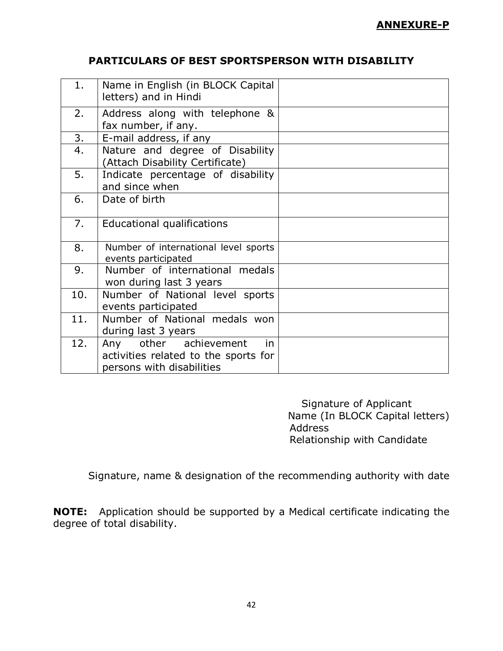#### **PARTICULARS OF BEST SPORTSPERSON WITH DISABILITY**

| 1.  | Name in English (in BLOCK Capital<br>letters) and in Hindi                                       |  |
|-----|--------------------------------------------------------------------------------------------------|--|
| 2.  | Address along with telephone &<br>fax number, if any.                                            |  |
| 3.  | E-mail address, if any                                                                           |  |
| 4.  | Nature and degree of Disability<br>(Attach Disability Certificate)                               |  |
| 5.  | Indicate percentage of disability<br>and since when                                              |  |
| 6.  | Date of birth                                                                                    |  |
| 7.  | Educational qualifications                                                                       |  |
| 8.  | Number of international level sports<br>events participated                                      |  |
| 9.  | Number of international medals<br>won during last 3 years                                        |  |
| 10. | Number of National level sports<br>events participated                                           |  |
| 11. | Number of National medals won<br>during last 3 years                                             |  |
| 12. | Any other achievement<br>in<br>activities related to the sports for<br>persons with disabilities |  |

Signature of Applicant Name (In BLOCK Capital letters) Address Relationship with Candidate

Signature, name & designation of the recommending authority with date

**NOTE:** Application should be supported by a Medical certificate indicating the degree of total disability.